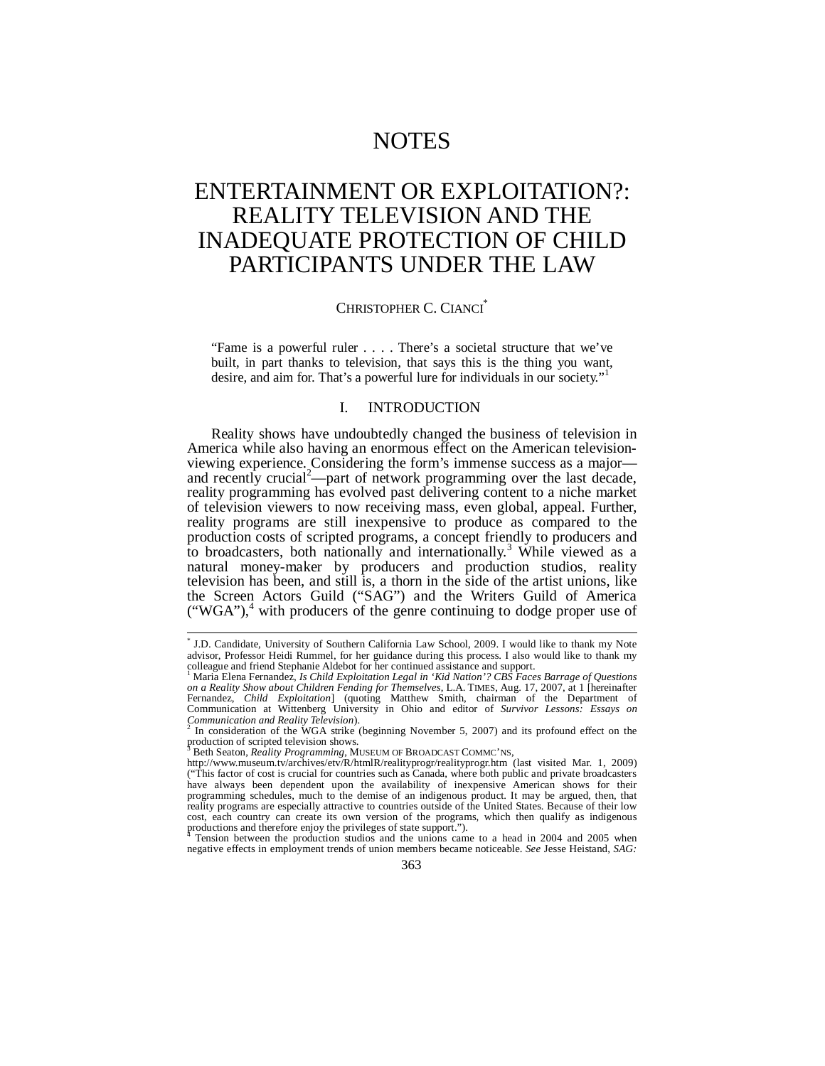# NOTES

# ENTERTAINMENT OR EXPLOITATION?: REALITY TELEVISION AND THE INADEQUATE PROTECTION OF CHILD PARTICIPANTS UNDER THE LAW

# CHRISTOPHER C. CIANCI\*

"Fame is a powerful ruler . . . . There's a societal structure that we've built, in part thanks to television, that says this is the thing you want, desire, and aim for. That's a powerful lure for individuals in our society."

# I. INTRODUCTION

Reality shows have undoubtedly changed the business of television in America while also having an enormous effect on the American televisionviewing experience. Considering the form's immense success as a major and recently crucial<sup>2</sup>—part of network programming over the last decade, reality programming has evolved past delivering content to a niche market of television viewers to now receiving mass, even global, appeal. Further, reality programs are still inexpensive to produce as compared to the production costs of scripted programs, a concept friendly to producers and to broadcasters, both nationally and internationally.<sup>3</sup> While viewed as a natural money-maker by producers and production studios, reality television has been, and still is, a thorn in the side of the artist unions, like the Screen Actors Guild ("SAG") and the Writers Guild of America ("WGA"),<sup>4</sup> with producers of the genre continuing to dodge proper use of

 \* J.D. Candidate, University of Southern California Law School, 2009. I would like to thank my Note advisor, Professor Heidi Rummel, for her guidance during this process. I also would like to thank my<br>colleague and friend Stephanie Aldebot for her continued assistance and support.<br><sup>1</sup> Merie Elene Fernandez, Le Child Expl

Maria Elena Fernandez, *Is Child Exploitation Legal in 'Kid Nation'? CBS Faces Barrage of Questions on a Reality Show about Children Fending for Themselves*, L.A. TIMES, Aug. 17, 2007, at 1 [hereinafter Fernandez, *Child Exploitation*] (quoting Matthew Smith, chairman of the Department of Communication at Wittenberg University in Ohio and editor of *Survivor Lessons: Essays on* 

*Communication and Reality Television*).<br><sup>2</sup> In consideration of the WGA strike (beginning November 5, 2007) and its profound effect on the production of scripted television shows.

Beth Seaton, *Reality Programming*, MUSEUM OF BROADCAST COMMC'NS,

http://www.museum.tv/archives/etv/R/htmlR/realityprogr/realityprogr.htm (last visited Mar. 1, 2009) ("This factor of cost is crucial for countries such as Canada, where both public and private broadcasters have always been dependent upon the availability of inexpensive American shows for their programming schedules, much to the demise of an indigenous product. It may be argued, then, that reality programs are especially attractive to countries outside of the United States. Because of their low cost, each country can create its own version of the programs, which then qualify as indigenous productions and therefore enjoy the privileges of state support.").

Tension between the production studios and the unions came to a head in 2004 and 2005 when negative effects in employment trends of union members became noticeable. *See* Jesse Heistand, *SAG:*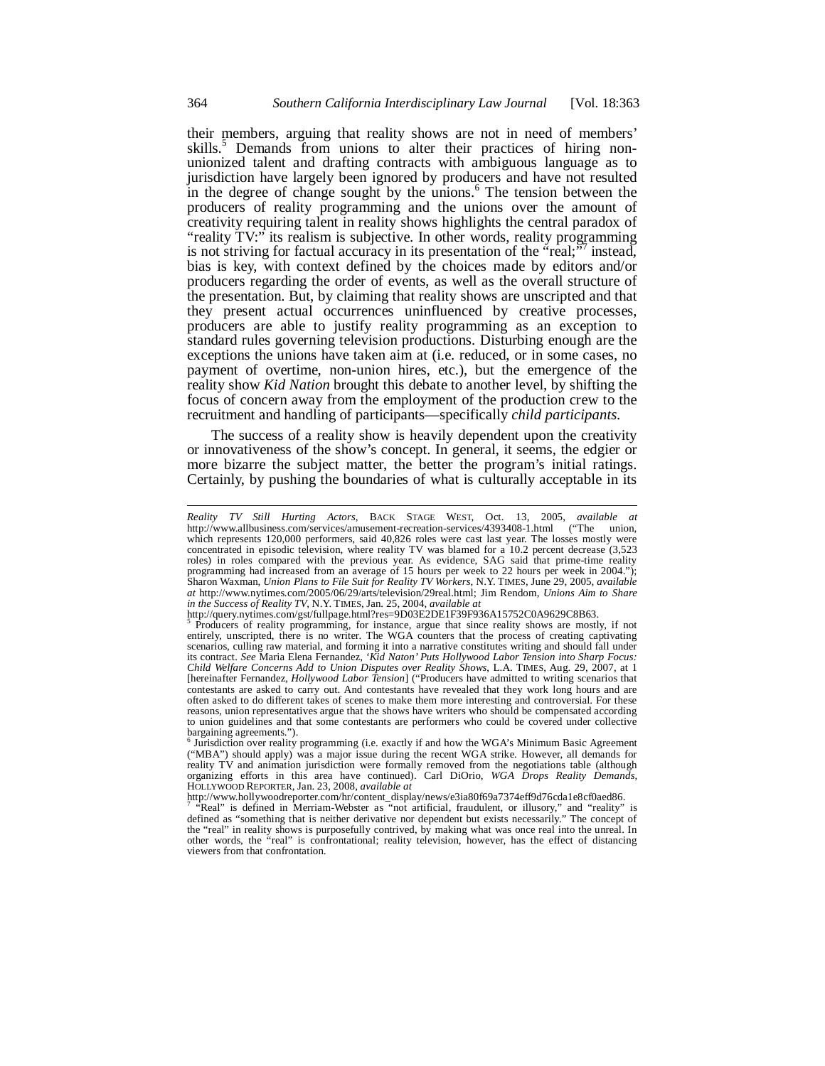their members, arguing that reality shows are not in need of members' skills.<sup>5</sup> Demands from unions to alter their practices of hiring nonunionized talent and drafting contracts with ambiguous language as to jurisdiction have largely been ignored by producers and have not resulted in the degree of change sought by the unions.<sup>6</sup> The tension between the producers of reality programming and the unions over the amount of creativity requiring talent in reality shows highlights the central paradox of "reality TV:" its realism is subjective. In other words, reality programming is not striving for factual accuracy in its presentation of the  $\text{``real$;''7$}$  instead, bias is key, with context defined by the choices made by editors and/or producers regarding the order of events, as well as the overall structure of the presentation. But, by claiming that reality shows are unscripted and that they present actual occurrences uninfluenced by creative processes, producers are able to justify reality programming as an exception to standard rules governing television productions. Disturbing enough are the exceptions the unions have taken aim at (i.e. reduced, or in some cases, no payment of overtime, non-union hires, etc.), but the emergence of the reality show *Kid Nation* brought this debate to another level, by shifting the focus of concern away from the employment of the production crew to the recruitment and handling of participants—specifically *child participants*.

The success of a reality show is heavily dependent upon the creativity or innovativeness of the show's concept. In general, it seems, the edgier or more bizarre the subject matter, the better the program's initial ratings. Certainly, by pushing the boundaries of what is culturally acceptable in its

http://query.nytimes.com/gst/fullpage.html?res=9D03E2DE1F39F936A15752C0A9629C8B63.

http://www.hollywoodreporter.com/hr/content\_display/news/e3ia80f69a7374eff9d76cda1e8cf0aed86. 7 "Real" is defined in Merriam-Webster as "not artificial, fraudulent, or illusory," and "reality" is defined as "something that is neither derivative nor dependent but exists necessarily." The concept of the "real" in reality shows is purposefully contrived, by making what was once real into the unreal. In other words, the "real" is confrontational; reality television, however, has the effect of distancing viewers from that confrontation.

l

*Reality TV Still Hurting Actors*, BACK STAGE WEST, Oct. 13, 2005, *available at*  http://www.allbusiness.com/services/amusement-recreation-services/4393408-1.html ("The which represents 120,000 performers, said 40,826 roles were cast last year. The losses mostly were concentrated in episodic television, where reality TV was blamed for a 10.2 percent decrease (3,523 roles) in roles compared with the previous year. As evidence, SAG said that prime-time reality programming had increased from an average of 15 hours per week to 22 hours per week in 2004."); Sharon Waxman, *Union Plans to File Suit for Reality TV Workers*, N.Y. TIMES, June 29, 2005, *available at* http://www.nytimes.com/2005/06/29/arts/television/29real.html; Jim Rendom, *Unions Aim to Share in the Success of Reality TV*, N.Y. TIMES, Jan. 25, 2004, *available at* 

Producers of reality programming, for instance, argue that since reality shows are mostly, if not entirely, unscripted, there is no writer. The WGA counters that the process of creating captivating scenarios, culling raw material, and forming it into a narrative constitutes writing and should fall under its contract. *See* Maria Elena Fernandez, *'Kid Naton' Puts Hollywood Labor Tension into Sharp Focus: Child Welfare Concerns Add to Union Disputes over Reality Shows*, L.A. TIMES, Aug. 29, 2007, at 1 [hereinafter Fernandez, *Hollywood Labor Tension*] ("Producers have admitted to writing scenarios that contestants are asked to carry out. And contestants have revealed that they work long hours and are often asked to do different takes of scenes to make them more interesting and controversial. For these reasons, union representatives argue that the shows have writers who should be compensated according to union guidelines and that some contestants are performers who could be covered under collective bargaining agreements.").

 $6$  Jurisdiction over reality programming (i.e. exactly if and how the WGA's Minimum Basic Agreement ("MBA") should apply) was a major issue during the recent WGA strike. However, all demands for reality TV and animation jurisdiction were formally removed from the negotiations table (although organizing efforts in this area have continued). Carl DiOrio, *WGA Drops Reality Demands*, HOLLYWOOD REPORTER, Jan. 23, 2008, *available at*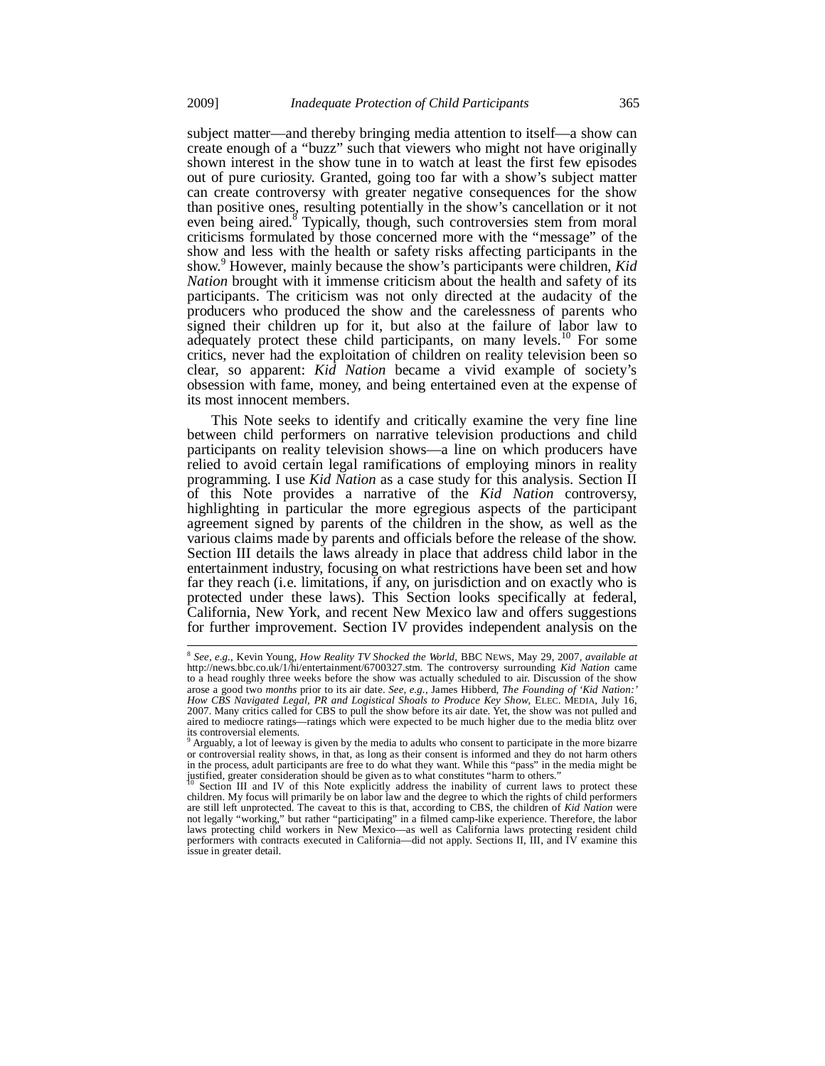subject matter—and thereby bringing media attention to itself—a show can create enough of a "buzz" such that viewers who might not have originally shown interest in the show tune in to watch at least the first few episodes out of pure curiosity. Granted, going too far with a show's subject matter can create controversy with greater negative consequences for the show than positive ones, resulting potentially in the show's cancellation or it not even being aired.<sup>8</sup> Typically, though, such controversies stem from moral criticisms formulated by those concerned more with the "message" of the show and less with the health or safety risks affecting participants in the show.<sup>9</sup> However, mainly because the show's participants were children, *Kid Nation* brought with it immense criticism about the health and safety of its participants. The criticism was not only directed at the audacity of the producers who produced the show and the carelessness of parents who signed their children up for it, but also at the failure of labor law to adequately protect these child participants, on many levels.<sup>10</sup> For some critics, never had the exploitation of children on reality television been so clear, so apparent: *Kid Nation* became a vivid example of society's obsession with fame, money, and being entertained even at the expense of its most innocent members.

This Note seeks to identify and critically examine the very fine line between child performers on narrative television productions and child participants on reality television shows—a line on which producers have relied to avoid certain legal ramifications of employing minors in reality programming. I use *Kid Nation* as a case study for this analysis. Section II of this Note provides a narrative of the *Kid Nation* controversy, highlighting in particular the more egregious aspects of the participant agreement signed by parents of the children in the show, as well as the various claims made by parents and officials before the release of the show. Section III details the laws already in place that address child labor in the entertainment industry, focusing on what restrictions have been set and how far they reach (i.e. limitations, if any, on jurisdiction and on exactly who is protected under these laws). This Section looks specifically at federal, California, New York, and recent New Mexico law and offers suggestions for further improvement. Section IV provides independent analysis on the

 $\overline{a}$ 

<sup>8</sup> *See, e.g.*, Kevin Young, *How Reality TV Shocked the World*, BBC NEWS, May 29, 2007, *available at* http://news.bbc.co.uk/1/hi/entertainment/6700327.stm. The controversy surrounding *Kid Nation* came to a head roughly three weeks before the show was actually scheduled to air. Discussion of the show arose a good two *months* prior to its air date. *See, e.g.*, James Hibberd, *The Founding of 'Kid Nation:' How CBS Navigated Legal, PR and Logistical Shoals to Produce Key Show*, ELEC. MEDIA, July 16, 2007. Many critics called for CBS to pull the show before its air date. Yet, the show was not pulled and aired to mediocre ratings—ratings which were expected to be much higher due to the media blitz over its controversial elements.

Arguably, a lot of leeway is given by the media to adults who consent to participate in the more bizarre or controversial reality shows, in that, as long as their consent is informed and they do not harm others in the process, adult participants are free to do what they want. While this "pass" in the media might be justified, greater consideration should be given as to what constitutes "harm to others."

Section III and IV of this Note explicitly address the inability of current laws to protect these children. My focus will primarily be on labor law and the degree to which the rights of child performers are still left unprotected. The caveat to this is that, according to CBS, the children of *Kid Nation* were not legally "working," but rather "participating" in a filmed camp-like experience. Therefore, the labor laws protecting child workers in New Mexico—as well as California laws protecting resident child performers with contracts executed in California—did not apply. Sections II, III, and IV examine this issue in greater detail.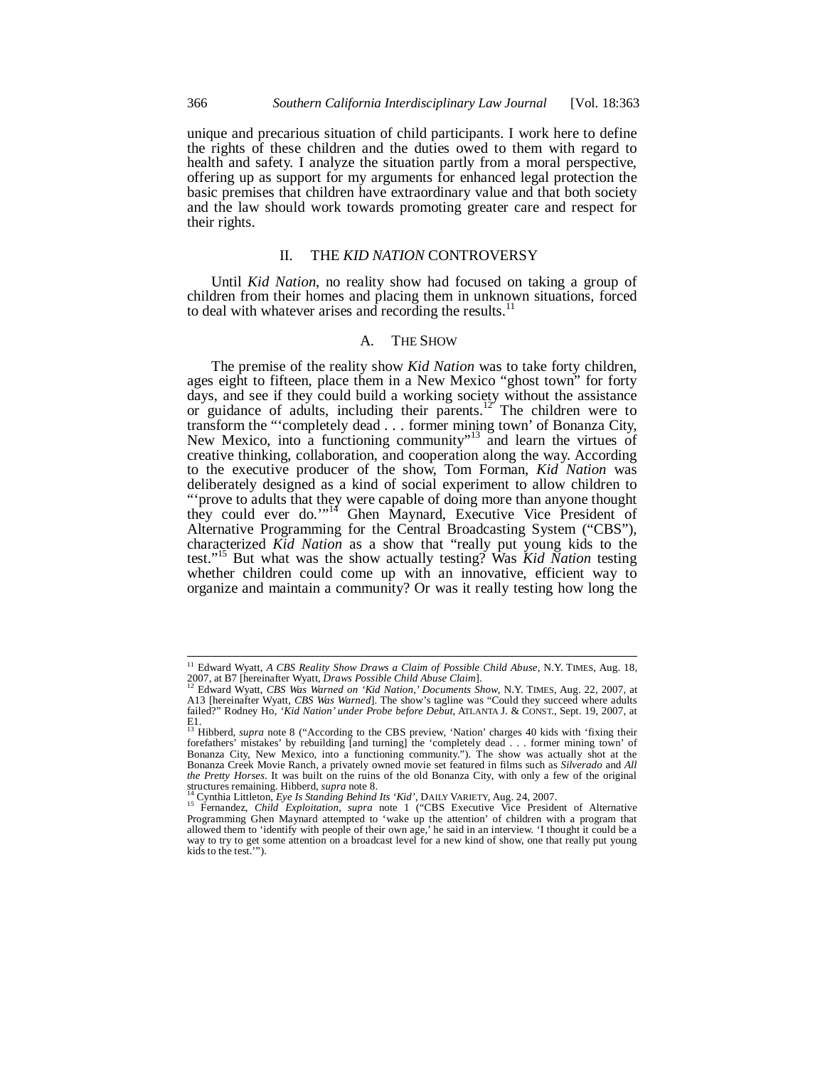unique and precarious situation of child participants. I work here to define the rights of these children and the duties owed to them with regard to health and safety. I analyze the situation partly from a moral perspective, offering up as support for my arguments for enhanced legal protection the basic premises that children have extraordinary value and that both society and the law should work towards promoting greater care and respect for their rights.

## II. THE *KID NATION* CONTROVERSY

Until *Kid Nation*, no reality show had focused on taking a group of children from their homes and placing them in unknown situations, forced to deal with whatever arises and recording the results. $^{11}$ 

## A. THE SHOW

The premise of the reality show *Kid Nation* was to take forty children, ages eight to fifteen, place them in a New Mexico "ghost town" for forty days, and see if they could build a working society without the assistance or guidance of adults, including their parents.<sup>12</sup> The children were to transform the "'completely dead . . . former mining town' of Bonanza City, New Mexico, into a functioning community"<sup>13</sup> and learn the virtues of creative thinking, collaboration, and cooperation along the way. According to the executive producer of the show, Tom Forman, *Kid Nation* was deliberately designed as a kind of social experiment to allow children to "'prove to adults that they were capable of doing more than anyone thought they could ever do."<sup>14</sup> Ghen Maynard, Executive Vice President of Alternative Programming for the Central Broadcasting System ("CBS"), characterized *Kid Nation* as a show that "really put young kids to the test."15 But what was the show actually testing? Was *Kid Nation* testing whether children could come up with an innovative, efficient way to organize and maintain a community? Or was it really testing how long the

j

<sup>&</sup>lt;sup>11</sup> Edward Wyatt, *A CBS Reality Show Draws a Claim of Possible Child Abuse*, N.Y. TIMES, Aug. 18,

<sup>2007,</sup> at B7 [hereinafter Wyatt, Draws Possible Child Abuse Claim].<br><sup>12</sup> Edward Wyatt, CBS Was Warned on 'Kid Nation,' Documents Show, N.Y. TIMES, Aug. 22, 2007, at<br>A13 [hereinafter Wyatt, CBS Was Warned]. The show's taglin failed?" Rodney Ho, *'Kid Nation' under Probe before Debut*, ATLANTA J. & CONST., Sept. 19, 2007, at E1. 13 Hibberd, *supra* note 8 ("According to the CBS preview, 'Nation' charges 40 kids with 'fixing their

forefathers' mistakes' by rebuilding [and turning] the 'completely dead . . . former mining town' of Bonanza City, New Mexico, into a functioning community."). The show was actually shot at the Bonanza Creek Movie Ranch, a privately owned movie set featured in films such as *Silverado* and *All the Pretty Horses*. It was built on the ruins of the old Bonanza City, with only a few of the original structures remaining. Hibberd, *supra* note 8.

<sup>&</sup>lt;sup>14</sup> Cynthia Littleton, *Eye Is Standing Behind Its 'Kid'*, DAILY VARIETY, Aug. 24, 2007.<br><sup>15</sup> Fernandez, *Child Exploitation*, *supra* note 1 ("CBS Executive Vice President of Alternative Programming Ghen Maynard attempted to 'wake up the attention' of children with a program that allowed them to 'identify with people of their own age,' he said in an interview. 'I thought it could be a way to try to get some attention on a broadcast level for a new kind of show, one that really put young kids to the test.'").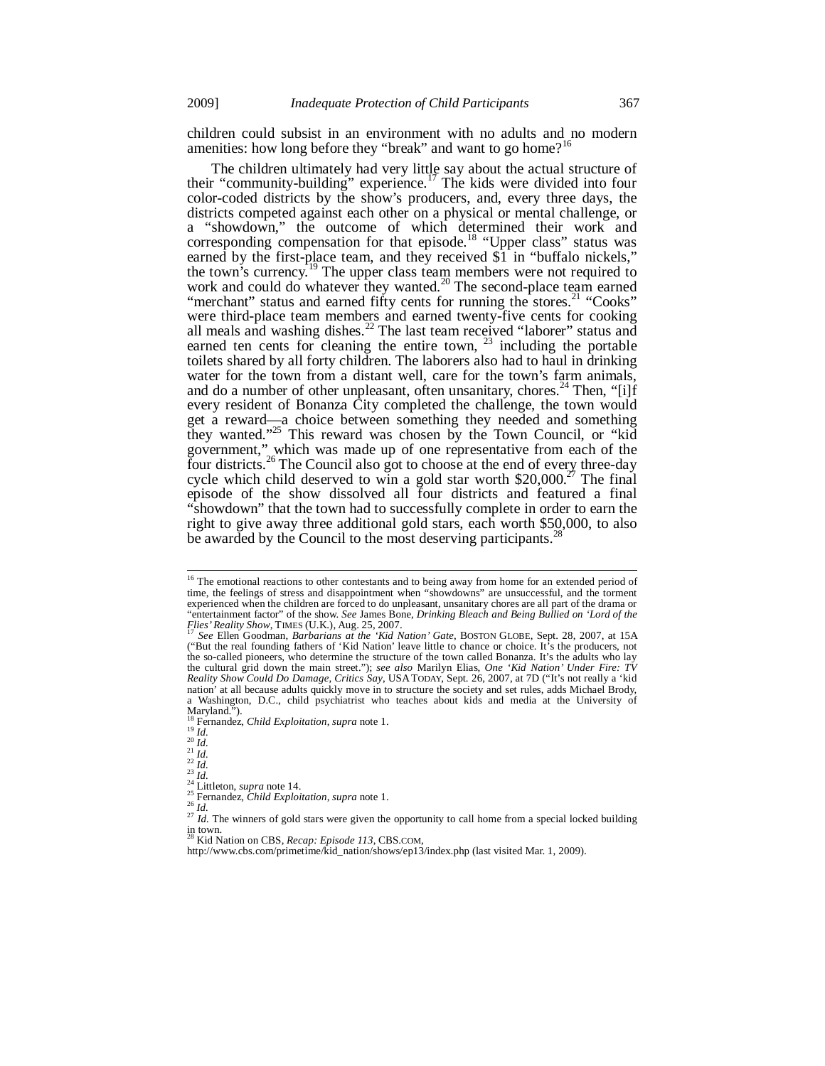children could subsist in an environment with no adults and no modern amenities: how long before they "break" and want to go home?<sup>16</sup>

The children ultimately had very little say about the actual structure of their "community-building" experience.17 The kids were divided into four color-coded districts by the show's producers, and, every three days, the districts competed against each other on a physical or mental challenge, or a "showdown," the outcome of which determined their work and corresponding compensation for that episode.<sup>18</sup> "Upper class" status was earned by the first-place team, and they received \$1 in "buffalo nickels," the town's currency.<sup>19</sup> The upper class team members were not required to work and could do whatever they wanted.<sup>20</sup> The second-place team earned "merchant" status and earned fifty cents for running the stores.<sup>21</sup> "Cooks" were third-place team members and earned twenty-five cents for cooking all meals and washing dishes. $^{22}$  The last team received "laborer" status and earned ten cents for cleaning the entire town,  $^{23}$  including the portable toilets shared by all forty children. The laborers also had to haul in drinking water for the town from a distant well, care for the town's farm animals, and do a number of other unpleasant, often unsanitary, chores.<sup>24</sup> Then, "[i]f every resident of Bonanza City completed the challenge, the town would get a reward—a choice between something they needed and something they wanted."25 This reward was chosen by the Town Council, or "kid government," which was made up of one representative from each of the four districts.<sup>26</sup> The Council also got to choose at the end of every three-day cycle which child deserved to win a gold star worth  $$20,000.<sup>27</sup>$  The final episode of the show dissolved all four districts and featured a final "showdown" that the town had to successfully complete in order to earn the right to give away three additional gold stars, each worth \$50,000, to also be awarded by the Council to the most deserving participants.<sup>2</sup>

į

- 
- 

<sup>&</sup>lt;sup>16</sup> The emotional reactions to other contestants and to being away from home for an extended period of time, the feelings of stress and disappointment when "showdowns" are unsuccessful, and the torment experienced when the children are forced to do unpleasant, unsanitary chores are all part of the drama or "entertainment factor" of the show. *See* James Bone, *Drinking Bleach and Being Bullied on 'Lord of the Flies' Reality Show*, TIMES (U.K.), Aug. 25, 2007.<br><sup>17</sup> *See Ellen Goodman, Barbarians at the 'Kid Nation' Gate*, BOSTON GLOBE, Sept. 28, 2007, at 15A

<sup>(&</sup>quot;But the real founding fathers of 'Kid Nation' leave little to chance or choice. It's the producers, not the so-called pioneers, who determine the structure of the town called Bonanza. It's the adults who lay the cultural grid down the main street."); *see also* Marilyn Elias, *One 'Kid Nation' Under Fire: TV Reality Show Could Do Damage, Critics Say*, USATODAY, Sept. 26, 2007, at 7D ("It's not really a 'kid nation' at all because adults quickly move in to structure the society and set rules, adds Michael Brody, a Washington, D.C., child psychiatrist who teaches about kids and media at the University of Maryland.").<br><sup>18</sup> Fernandez, *Child Exploitation*, *supra* note 1.<br> $\frac{19}{20}$ *Id.* 

<sup>&</sup>lt;sup>26</sup><br>
<sup>21</sup><br>
<sup>21</sup><br>
<sup>21</sup><br>
<sup>21</sup><br>
<sup>21</sup><br>
<sup>21</sup><br>
<sup>24</sup><br>
Lilleton, *supra* note 14.<br>
<sup>25</sup><br>
<sup>24</sup> Lilleton, *supra* note 14.<br>
<sup>25</sup> Fernandez, *Child Exploitation*, *supra* note 1.<br>
<sup>25</sup><br>
<sup>27</sup> *Id.* The winners of gold stars were giv

in town. 28 Kid Nation on CBS, *Recap: Episode 113*, CBS.COM,

http://www.cbs.com/primetime/kid\_nation/shows/ep13/index.php (last visited Mar. 1, 2009).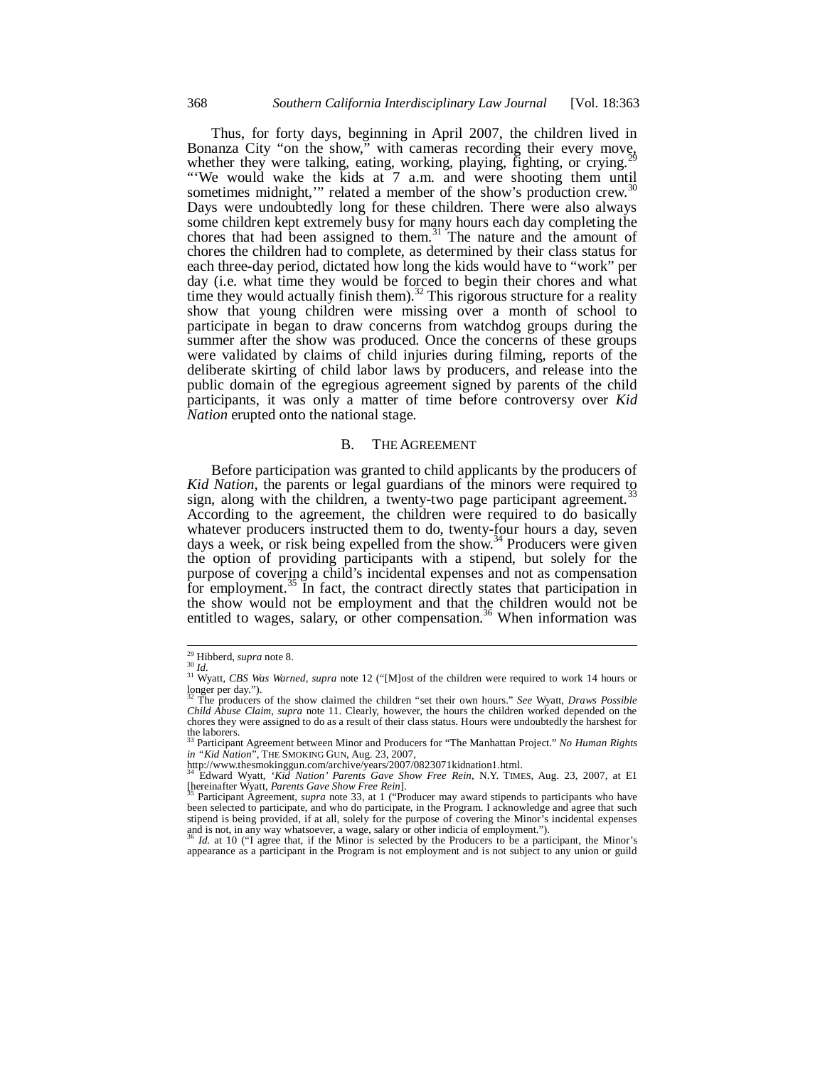Thus, for forty days, beginning in April 2007, the children lived in Bonanza City "on the show," with cameras recording their every move, whether they were talking, eating, working, playing, fighting, or crying.<sup>29</sup> "'We would wake the kids at 7 a.m. and were shooting them until sometimes midnight," related a member of the show's production crew.<sup>30</sup> Days were undoubtedly long for these children. There were also always some children kept extremely busy for many hours each day completing the chores that had been assigned to them.<sup>31</sup> The nature and the amount of chores the children had to complete, as determined by their class status for each three-day period, dictated how long the kids would have to "work" per day (i.e. what time they would be forced to begin their chores and what time they would actually finish them).<sup>32</sup> This rigorous structure for a reality show that young children were missing over a month of school to participate in began to draw concerns from watchdog groups during the summer after the show was produced. Once the concerns of these groups were validated by claims of child injuries during filming, reports of the deliberate skirting of child labor laws by producers, and release into the public domain of the egregious agreement signed by parents of the child participants, it was only a matter of time before controversy over *Kid Nation* erupted onto the national stage.

## B. THE AGREEMENT

Before participation was granted to child applicants by the producers of *Kid Nation*, the parents or legal guardians of the minors were required to sign, along with the children, a twenty-two page participant agreement.<sup>3</sup> According to the agreement, the children were required to do basically whatever producers instructed them to do, twenty-four hours a day, seven days a week, or risk being expelled from the show.<sup>34</sup> Producers were given the option of providing participants with a stipend, but solely for the purpose of covering a child's incidental expenses and not as compensation for employment.<sup>35</sup> In fact, the contract directly states that participation in the show would not be employment and that the children would not be entitled to wages, salary, or other compensation.<sup>36</sup> When information was

<sup>&</sup>lt;sup>31</sup> Wyatt, *CBS Was Warned*, *supra* note 12 ("[M]ost of the children were required to work 14 hours or longer per day."). 32 The producers of the show claimed the children "set their own hours." *See* Wyatt, *Draws Possible* 

*Child Abuse Claim*, *supra* note 11. Clearly, however, the hours the children worked depended on the chores they were assigned to do as a result of their class status. Hours were undoubtedly the harshest for the laborers.

<sup>33</sup> Participant Agreement between Minor and Producers for "The Manhattan Project." *No Human Rights in "Kid Nation*", THE SMOKING GUN, Aug. 23, 2007, http://www.thesmokinggun.com/archive/years/2007/0823071kidnation1.html.

<sup>34</sup> Edward Wyatt, *'Kid Nation' Parents Gave Show Free Rein*, N.Y. TIMES, Aug. 23, 2007, at E1 [hereinafter Wyatt, *Parents Gave Show Free Rein*]. 35 Participant Agreement, *supra* note 33, at 1 ("Producer may award stipends to participants who have

been selected to participate, and who do participate, in the Program. I acknowledge and agree that such stipend is being provided, if at all, solely for the purpose of covering the Minor's incidental expenses and is not, in any way whatsoever, a wage, salary or other indicia of employment.").<br><sup>36</sup> *Id.* at 10 ("I agree that, if the Minor is selected by the Producers to be a participant, the Minor's

appearance as a participant in the Program is not employment and is not subject to any union or guild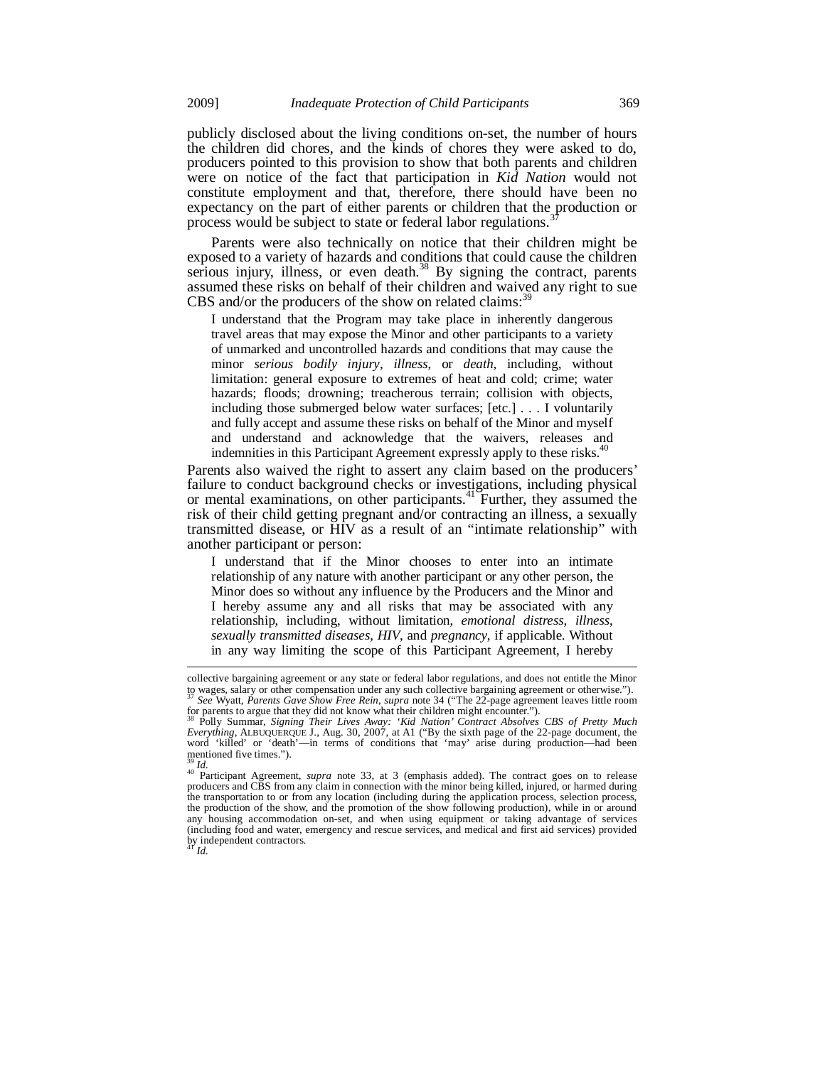publicly disclosed about the living conditions on-set, the number of hours the children did chores, and the kinds of chores they were asked to do, producers pointed to this provision to show that both parents and children were on notice of the fact that participation in *Kid Nation* would not constitute employment and that, therefore, there should have been no expectancy on the part of either parents or children that the production or process would be subject to state or federal labor regulations.<sup>3</sup>

Parents were also technically on notice that their children might be exposed to a variety of hazards and conditions that could cause the children serious injury, illness, or even death. $38$  By signing the contract, parents assumed these risks on behalf of their children and waived any right to sue CBS and/or the producers of the show on related claims: $3$ 

I understand that the Program may take place in inherently dangerous travel areas that may expose the Minor and other participants to a variety of unmarked and uncontrolled hazards and conditions that may cause the minor *serious bodily injury*, *illness*, or *death*, including, without limitation: general exposure to extremes of heat and cold; crime; water hazards; floods; drowning; treacherous terrain; collision with objects, including those submerged below water surfaces; [etc.] . . . I voluntarily and fully accept and assume these risks on behalf of the Minor and myself and understand and acknowledge that the waivers, releases and indemnities in this Participant Agreement expressly apply to these risks.<sup>40</sup>

Parents also waived the right to assert any claim based on the producers' failure to conduct background checks or investigations, including physical or mental examinations, on other participants.<sup>41</sup> Further, they assumed the risk of their child getting pregnant and/or contracting an illness, a sexually transmitted disease, or HIV as a result of an "intimate relationship" with another participant or person:

I understand that if the Minor chooses to enter into an intimate relationship of any nature with another participant or any other person, the Minor does so without any influence by the Producers and the Minor and I hereby assume any and all risks that may be associated with any relationship, including, without limitation, *emotional distress*, *illness*, *sexually transmitted diseases*, *HIV*, and *pregnancy*, if applicable. Without in any way limiting the scope of this Participant Agreement, I hereby

l

collective bargaining agreement or any state or federal labor regulations, and does not entitle the Minor to wages, salary or other compensation under any such collective bargaining agreement or otherwise."). <sup>37</sup> *See* Wyatt, *Parents Gave Show Free Rein*, *supra* note 34 ("The 22-page agreement leaves little room

for parents to argue that they did not know what their children might encounter.").<br><sup>38</sup> Polly Summar, *Signing Their Lives Away: 'Kid Nation' Contract Absolves CBS of Pretty Much Everything, ALBUQUERQUE J., Aug. 30, 2007,* mentioned five times.").

<sup>&</sup>lt;sup>39</sup> *Id.* 40 Participant Agreement, *supra* note 33, at 3 (emphasis added). The contract goes on to release producers and CBS from any claim in connection with the minor being killed, injured, or harmed during the transportation to or from any location (including during the application process, selection process, the production of the show, and the promotion of the show following production), while in or around any housing accommodation on-set, and when using equipment or taking advantage of services (including food and water, emergency and rescue services, and medical and first aid services) provided by independent contractors. <sup>41</sup> *Id.*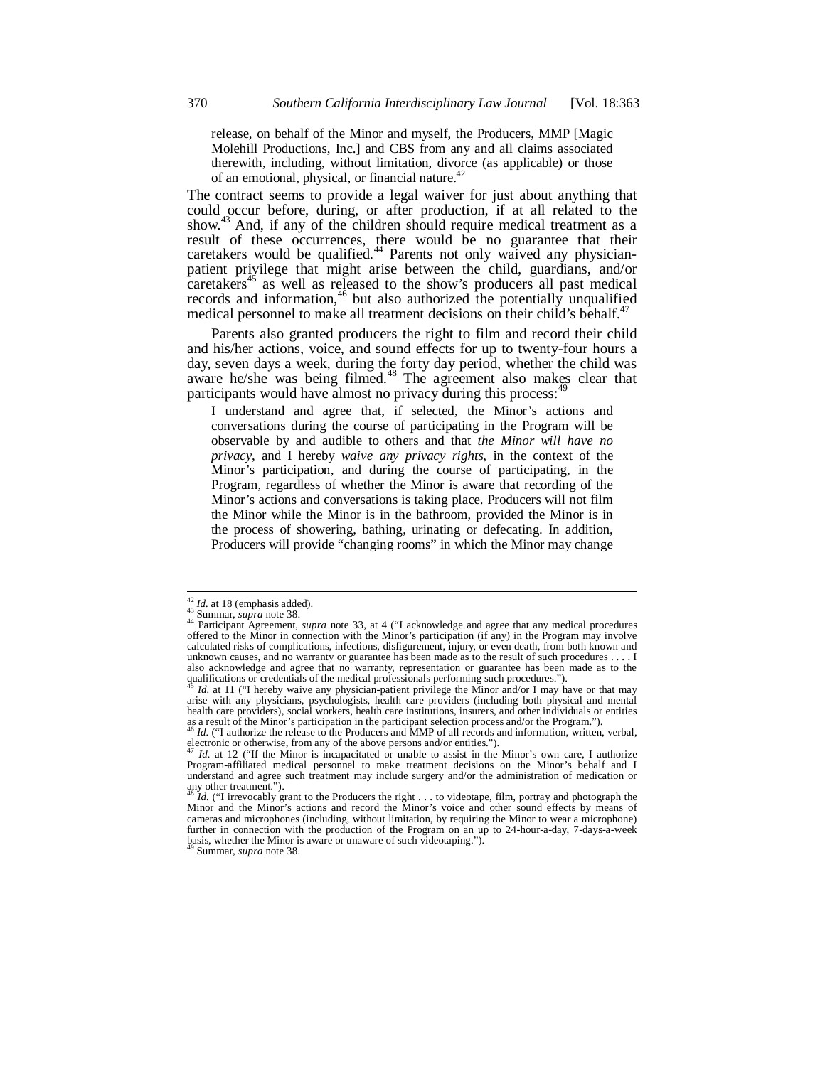release, on behalf of the Minor and myself, the Producers, MMP [Magic Molehill Productions, Inc.] and CBS from any and all claims associated therewith, including, without limitation, divorce (as applicable) or those of an emotional, physical, or financial nature.<sup>42</sup>

The contract seems to provide a legal waiver for just about anything that could occur before, during, or after production, if at all related to the show.43 And, if any of the children should require medical treatment as a result of these occurrences, there would be no guarantee that their caretakers would be qualified.<sup>44</sup> Parents not only waived any physicianpatient privilege that might arise between the child, guardians, and/or caretakers<sup>45</sup> as well as released to the show's producers all past medical records and information,  $46$  but also authorized the potentially unqualified medical personnel to make all treatment decisions on their child's behalf.<sup>4</sup>

Parents also granted producers the right to film and record their child and his/her actions, voice, and sound effects for up to twenty-four hours a day, seven days a week, during the forty day period, whether the child was aware he/she was being filmed.<sup>48</sup> The agreement also makes clear that participants would have almost no privacy during this process:

I understand and agree that, if selected, the Minor's actions and conversations during the course of participating in the Program will be observable by and audible to others and that *the Minor will have no privacy*, and I hereby *waive any privacy rights*, in the context of the Minor's participation, and during the course of participating, in the Program, regardless of whether the Minor is aware that recording of the Minor's actions and conversations is taking place. Producers will not film the Minor while the Minor is in the bathroom, provided the Minor is in the process of showering, bathing, urinating or defecating. In addition, Producers will provide "changing rooms" in which the Minor may change

 $42$  *Id.* at 18 (emphasis added).

<sup>&</sup>lt;sup>42</sup> *Id.* at 18 (emphasis added).<br><sup>43</sup> Summar, *supra* note 38.<br><sup>44</sup> Participant Agreement, *supra* note 33, at 4 ("I acknowledge and agree that any medical procedures offered to the Minor in connection with the Minor's calculated risks of complications, infections, disfigurement, injury, or even death, from both known and unknown causes, and no warranty or guarantee has been made as to the result of such procedures . . . . I also acknowledge and agree that no warranty, representation or guarantee has been made as to the qualifications or credentials of the medical professionals performing such procedures.").

<sup>&</sup>lt;sup>45</sup> *Id.* at 11 ("I hereby waive any physician-patient privilege the Minor and/or I may have or that may arise with any physicians, psychologists, health care providers (including both physical and mental health care providers), social workers, health care institutions, insurers, and other individuals or entities as a result of the Minor's participation in the participant selection process and/or the Program."). <sup>46</sup> *Id.* ("I authorize the release to the Producers and MMP of all records and information, written, verbal,

electronic or otherwise, from any of the above persons and/or entities.").

<sup>&</sup>lt;sup>47</sup> *Id.* at 12 ("If the Minor is incapacitated or unable to assist in the Minor's own care, I authorize Program-affiliated medical personnel to make treatment decisions on the Minor's behalf and I understand and agree such treatment may include surgery and/or the administration of medication or any other treatment.").

Id. ("I irrevocably grant to the Producers the right . . . to videotape, film, portray and photograph the Minor and the Minor's actions and record the Minor's voice and other sound effects by means of cameras and microphones (including, without limitation, by requiring the Minor to wear a microphone) further in connection with the production of the Program on an up to 24-hour-a-day, 7-days-a-week basis, whether the Minor is aware or unaware of such videotaping.").

Summar, *supra* note 38.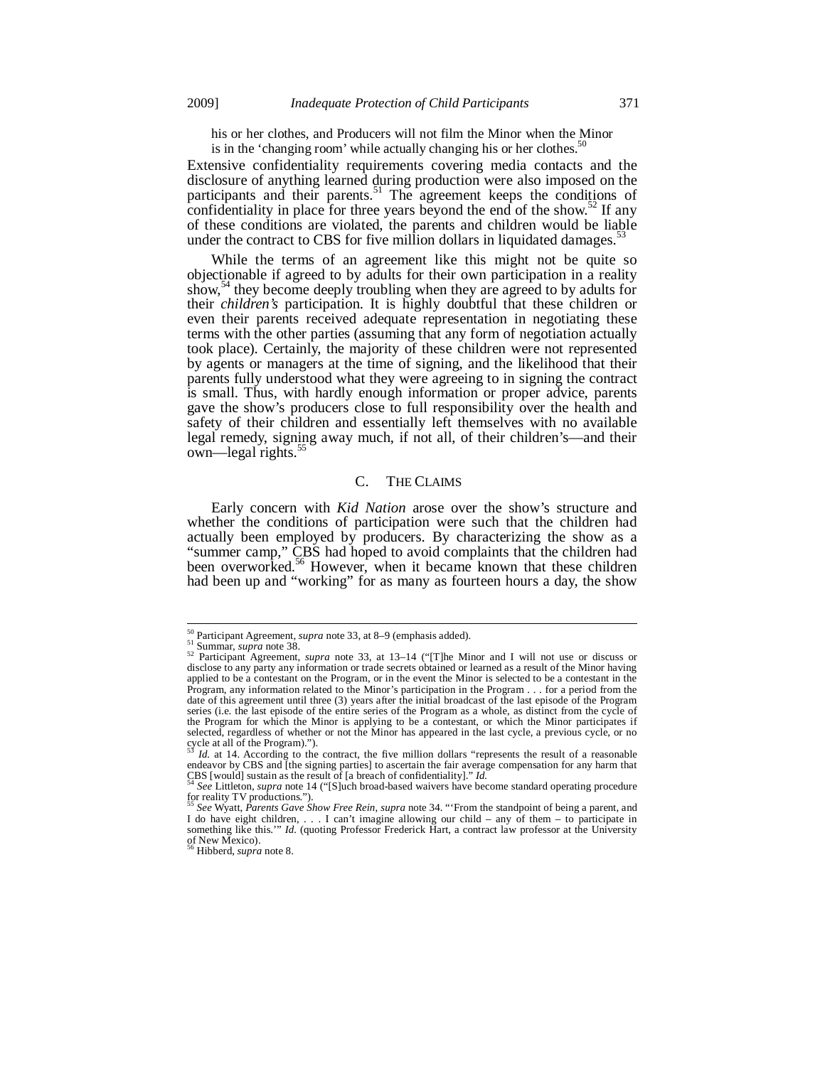his or her clothes, and Producers will not film the Minor when the Minor is in the 'changing room' while actually changing his or her clothes. $50$ 

Extensive confidentiality requirements covering media contacts and the disclosure of anything learned during production were also imposed on the participants and their parents.<sup>51</sup> The agreement keeps the conditions of confidentiality in place for three years beyond the end of the show. $52$  If any of these conditions are violated, the parents and children would be liable under the contract to CBS for five million dollars in liquidated damages.<sup>5</sup>

While the terms of an agreement like this might not be quite so objectionable if agreed to by adults for their own participation in a reality show,<sup>54</sup> they become deeply troubling when they are agreed to by adults for their *children's* participation. It is highly doubtful that these children or even their parents received adequate representation in negotiating these terms with the other parties (assuming that any form of negotiation actually took place). Certainly, the majority of these children were not represented by agents or managers at the time of signing, and the likelihood that their parents fully understood what they were agreeing to in signing the contract is small. Thus, with hardly enough information or proper advice, parents gave the show's producers close to full responsibility over the health and safety of their children and essentially left themselves with no available legal remedy, signing away much, if not all, of their children's—and their own—legal rights.<sup>55</sup>

# C. THE CLAIMS

Early concern with *Kid Nation* arose over the show's structure and whether the conditions of participation were such that the children had actually been employed by producers. By characterizing the show as a "summer camp," CBS had hoped to avoid complaints that the children had been overworked.<sup>56</sup> However, when it became known that these children had been up and "working" for as many as fourteen hours a day, the show

 $50$  Participant Agreement, *supra* note 33, at 8-9 (emphasis added).

<sup>51</sup> Summar, *supra* note 38.<br><sup>51</sup> Summar, *supra* note 38. 52 Participant Agreement, *supra* note 33, at 13–14 ("[T]he Minor and I will not use or discuss or disclose to any party any information or trade secrets obtained or learned as a result of the Minor having applied to be a contestant on the Program, or in the event the Minor is selected to be a contestant in the Program, any information related to the Minor's participation in the Program . . . for a period from the date of this agreement until three (3) years after the initial broadcast of the last episode of the Program series (i.e. the last episode of the entire series of the Program as a whole, as distinct from the cycle of the Program for which the Minor is applying to be a contestant, or which the Minor participates if selected, regardless of whether or not the Minor has appeared in the last cycle, a previous cycle, or no cycle at all of the Program).").

<sup>&</sup>lt;sup>55</sup> *Id.* at 14. According to the contract, the five million dollars "represents the result of a reasonable endeavor by CBS and [the signing parties] to ascertain the fair average compensation for any harm that CBS [would] sustain as the result of [a breach of confidentiality]." *Id.*<br><sup>54</sup> *See* Littleton, *supra* note 14 ("[S]uch broad-based waivers have become standard operating procedure

for reality TV productions.")

<sup>55</sup> *See* Wyatt, *Parents Gave Show Free Rein*, *supra* note 34. "'From the standpoint of being a parent, and I do have eight children, . . . I can't imagine allowing our child – any of them – to participate in something like this.'" *Id.* (quoting Professor Frederick Hart, a contract law professor at the University of New Mexico).

<sup>56</sup> Hibberd, *supra* note 8.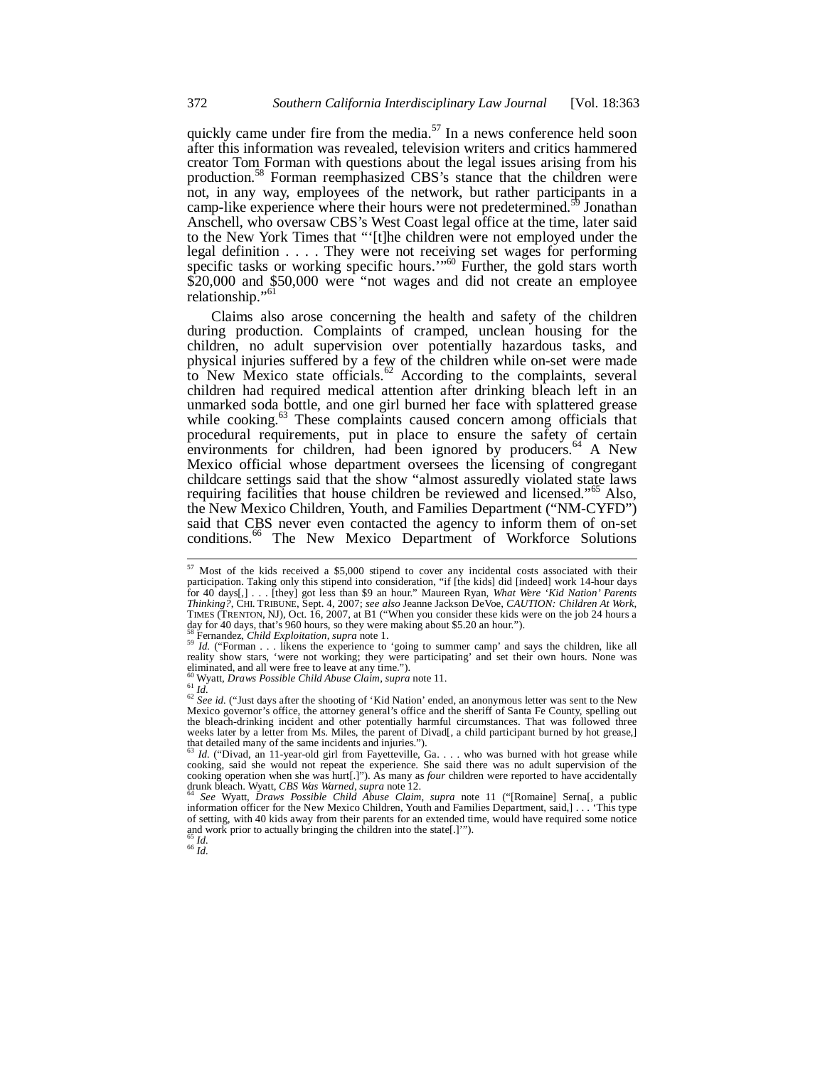quickly came under fire from the media.<sup>57</sup> In a news conference held soon after this information was revealed, television writers and critics hammered creator Tom Forman with questions about the legal issues arising from his production.58 Forman reemphasized CBS's stance that the children were not, in any way, employees of the network, but rather participants in a camp-like experience where their hours were not predetermined.<sup>59</sup> Jonathan Anschell, who oversaw CBS's West Coast legal office at the time, later said to the New York Times that "'[t]he children were not employed under the legal definition . . . . They were not receiving set wages for performing specific tasks or working specific hours."<sup>60</sup> Further, the gold stars worth \$20,000 and \$50,000 were "not wages and did not create an employee relationship."<sup>61</sup>

Claims also arose concerning the health and safety of the children during production. Complaints of cramped, unclean housing for the children, no adult supervision over potentially hazardous tasks, and physical injuries suffered by a few of the children while on-set were made to New Mexico state officials.<sup>62</sup> According to the complaints, several children had required medical attention after drinking bleach left in an unmarked soda bottle, and one girl burned her face with splattered grease while cooking.<sup>63</sup> These complaints caused concern among officials that procedural requirements, put in place to ensure the safety of certain environments for children, had been ignored by producers.<sup>64</sup> A New Mexico official whose department oversees the licensing of congregant childcare settings said that the show "almost assuredly violated state laws requiring facilities that house children be reviewed and licensed."<sup>65</sup> Also, the New Mexico Children, Youth, and Families Department ("NM-CYFD") said that CBS never even contacted the agency to inform them of on-set conditions.<sup>66</sup> The New Mexico Department of Workforce Solutions

 $\frac{65}{66}$  *Id.* 

1

 $57$  Most of the kids received a \$5,000 stipend to cover any incidental costs associated with their participation. Taking only this stipend into consideration, "if [the kids] did [indeed] work 14-hour days for 40<sup>-</sup>days[,] . . . [they] got less than \$9 an hour." Maureen Ryan, *What Were 'Kid Nation' Parents*<br>*Thinking?*, CHI. TRIBUNE, Sept. 4, 2007; *see also* Jeanne Jackson DeVoe, *CAUTION: Children At Work*, TIMES (TRENTON, NJ), Oct. 16, 2007, at B1 ("When you consider these kids were on the job 24 hours a day for 40 days, that's 960 hours, so they were making about \$5.20 an hour.").<br><sup>58</sup> Fernandez, *Child Exploitation*, *supra* note 1.

<sup>&</sup>lt;sup>59</sup> *Id.* ("Forman . . . likens the experience to 'going to summer camp' and says the children, like all reality show stars, 'were not working; they were participating' and set their own hours. None was eliminated, and all were free to leave at any time.").<br><sup>60</sup> Wyatt, *Draws Possible Child Abuse Claim*, *supra* note 11.

<sup>60</sup> Wyatt, *Draws Possible Child Abuse Claim*, suppra note 11.<br><sup>61</sup> *Id.* 62 *See id.* ("Just days after the shooting of 'Kid Nation' ended, an anonymous letter was sent to the New Mexico governor's office, the attorney general's office and the sheriff of Santa Fe County, spelling out the bleach-drinking incident and other potentially harmful circumstances. That was followed three weeks later by a letter from Ms. Miles, the parent of Divad[, a child participant burned by hot grease,] that detailed many of the same incidents and injuries.").

<sup>&</sup>lt;sup>63</sup> *Id.* ("Divad, an 11-year-old girl from Fayetteville, Ga. . . . who was burned with hot grease while cooking, said she would not repeat the experience. She said there was no adult supervision of the cooking operation when she was hurt[.]"). As many as *four* children were reported to have accidentally drunk bleach. Wyatt, *CBS Was Warned*, *supra* note 12. 64 *See* Wyatt, *Draws Possible Child Abuse Claim*, *supra* note 11 ("[Romaine] Serna[, a public

information officer for the New Mexico Children, Youth and Families Department, said,] . . . 'This type of setting, with 40 kids away from their parents for an extended time, would have required some notice and work prior to actually bringing the children into the state[.]'").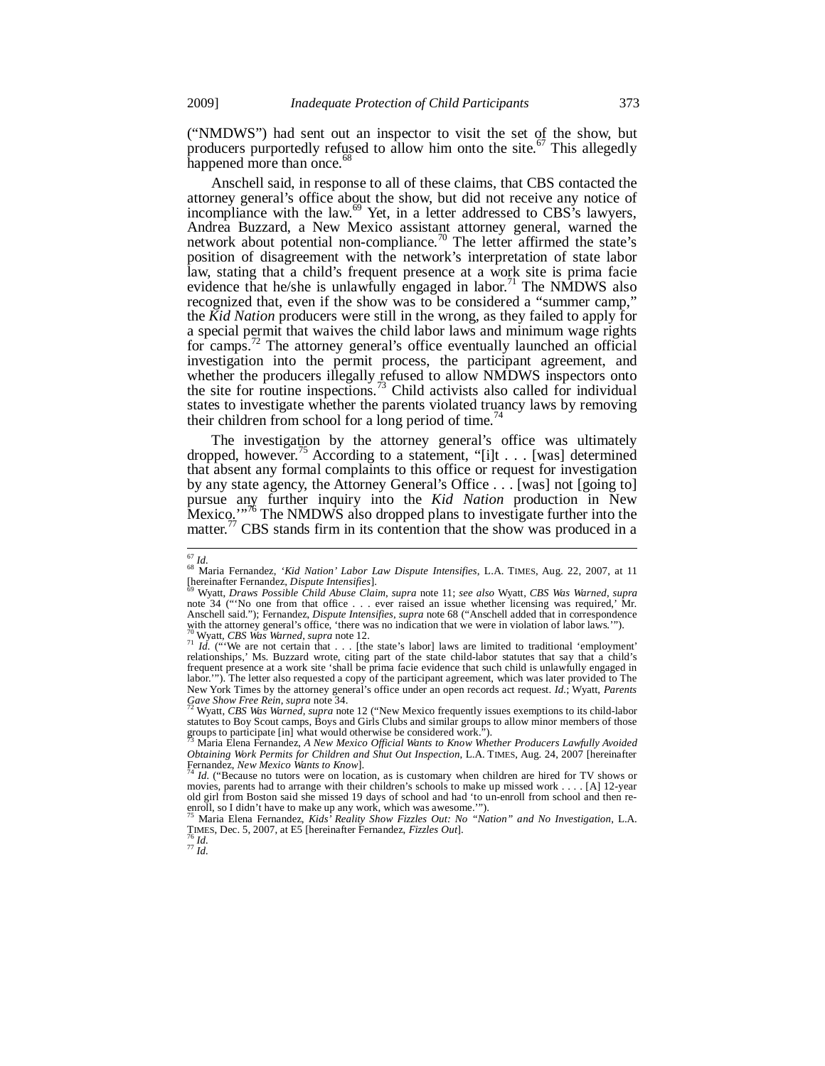("NMDWS") had sent out an inspector to visit the set of the show, but producers purportedly refused to allow him onto the site.<sup>67</sup> This allegedly happened more than once.<sup>68</sup>

Anschell said, in response to all of these claims, that CBS contacted the attorney general's office about the show, but did not receive any notice of incompliance with the law.<sup>69</sup> Yet, in a letter addressed to CBS<sup>3</sup>s lawyers, Andrea Buzzard, a New Mexico assistant attorney general, warned the network about potential non-compliance.<sup>70</sup> The letter affirmed the state's position of disagreement with the network's interpretation of state labor law, stating that a child's frequent presence at a work site is prima facie evidence that he/she is unlawfully engaged in labor.<sup>71</sup> The NMDWS also recognized that, even if the show was to be considered a "summer camp," the *Kid Nation* producers were still in the wrong, as they failed to apply for a special permit that waives the child labor laws and minimum wage rights for camps.<sup>72</sup> The attorney general's office eventually launched an official investigation into the permit process, the participant agreement, and whether the producers illegally refused to allow NMDWS inspectors onto the site for routine inspections.<sup>73</sup> Child activists also called for individual states to investigate whether the parents violated truancy laws by removing their children from school for a long period of time.<sup>74</sup>

The investigation by the attorney general's office was ultimately dropped, however.<sup>75</sup> According to a statement, "[i]t . . . [was] determined that absent any formal complaints to this office or request for investigation by any state agency, the Attorney General's Office . . . [was] not [going to] pursue any further inquiry into the *Kid Nation* production in New Mexico."<sup>76</sup> The NMDWS also dropped plans to investigate further into the matter.<sup>77</sup> CBS stands firm in its contention that the show was produced in a

<sup>-</sup>

<sup>&</sup>lt;sup>67</sup> Id.<br><sup>68</sup> Maria Fernandez, *'Kid Nation' Labor Law Dispute Intensifies*, L.A. TIMES, Aug. 22, 2007, at 11 [hereinafter Fernandez, *Dispute Intensifies*]. 69 Wyatt, *Draws Possible Child Abuse Claim*, *supra* note 11; *see also* Wyatt, *CBS Was Warned*, *supra*

note 34 ("'No one from that office . . . ever raised an issue whether licensing was required,' Mr. Anschell said."); Fernandez, *Dispute Intensifies*, *supra* note 68 ("Anschell added that in correspondence with the attorney general's office, 'there was no indication that we were in violation of labor laws.'").<br> $\frac{70}{2}$  Wyatt, *CBS Was Warned, supra* note 12.

<sup>&</sup>lt;sup>71</sup> *Id.* ("We are not certain that . . . [the state's labor] laws are limited to traditional 'employment' relationships,' Ms. Buzzard wrote, citing part of the state child-labor statutes that say that a child's frequent presence at a work site 'shall be prima facie evidence that such child is unlawfully engaged in labor.'"). The letter also requested a copy of the participant agreement, which was later provided to The New York Times by the attorney general's office under an open records act request. *Id*.; Wyatt, *Parents* Gave Show Free Rein, supra note 34.<br><sup>72</sup> Wyatt, CBS Was Warned, supra note 12 ("New Mexico frequently issues exempt

statutes to Boy Scout camps, Boys and Girls Clubs and similar groups to allow minor members of those groups to participate [in] what would otherwise be considered work.").

<sup>73</sup> Maria Elena Fernandez, *A New Mexico Official Wants to Know Whether Producers Lawfully Avoided Obtaining Work Permits for Children and Shut Out Inspection*, L.A. TIMES, Aug. 24, 2007 [hereinafter Fernandez, *New Mexico Wants to Know*].<br>Fernandez, *New Mexico Wants to Know*].<br><sup>74</sup> Id. ("Because no tutors were on loc

movies, parents had to arrange with their children's schools to make up missed work . . . . [A] 12-year old girl from Boston said she missed 19 days of school and had 'to un-enroll from school and then re-

enroll, so I didn't have to make up any work, which was awesome.'"). 75 Maria Elena Fernandez, *Kids' Reality Show Fizzles Out: No "Nation" and No Investigation*, L.A. TIMES, Dec. 5, 2007, at E5 [hereinafter Fernandez, *Fizzles Out*]. 76 *Id.* <sup>77</sup> *Id.*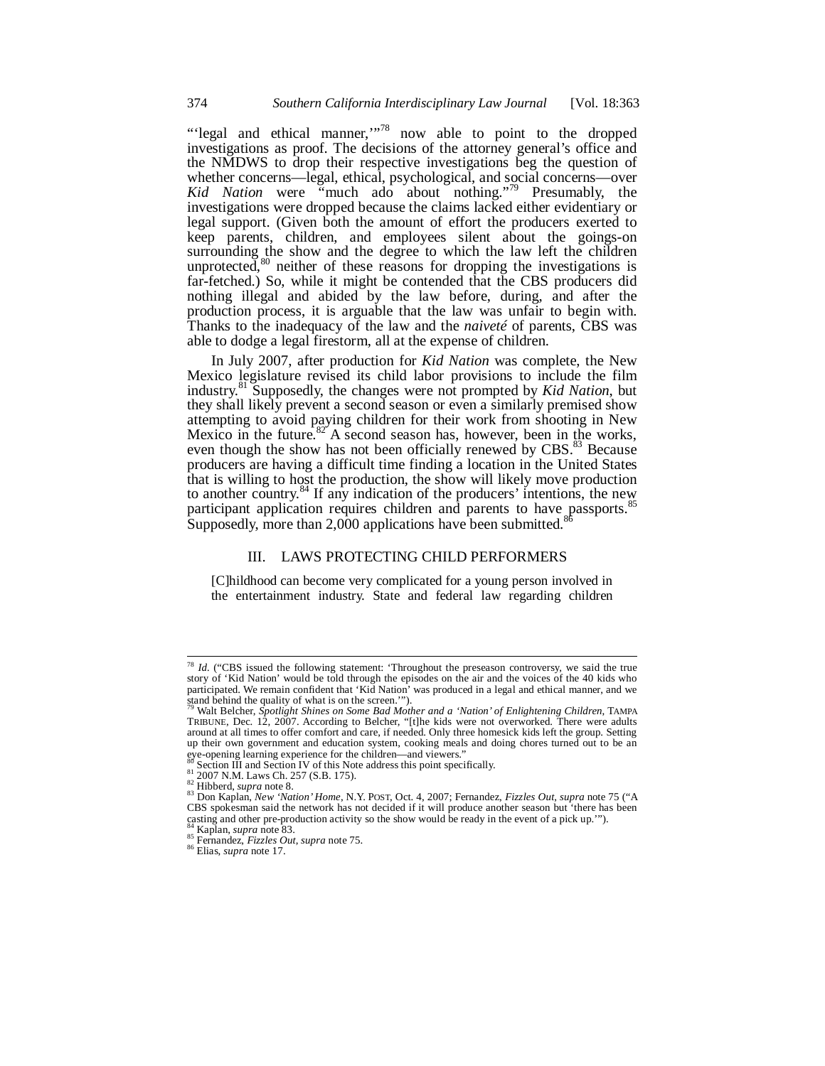"'legal and ethical manner,"<sup>78</sup> now able to point to the dropped investigations as proof. The decisions of the attorney general's office and the NMDWS to drop their respective investigations beg the question of whether concerns—legal, ethical, psychological, and social concerns—over *Kid Nation* were "much ado about nothing."79 Presumably, the investigations were dropped because the claims lacked either evidentiary or legal support. (Given both the amount of effort the producers exerted to keep parents, children, and employees silent about the goings-on surrounding the show and the degree to which the law left the children unprotected, $80$  neither of these reasons for dropping the investigations is far-fetched.) So, while it might be contended that the CBS producers did nothing illegal and abided by the law before, during, and after the production process, it is arguable that the law was unfair to begin with. Thanks to the inadequacy of the law and the *naiveté* of parents, CBS was able to dodge a legal firestorm, all at the expense of children.

In July 2007, after production for *Kid Nation* was complete, the New Mexico legislature revised its child labor provisions to include the film industry.81 Supposedly, the changes were not prompted by *Kid Nation*, but they shall likely prevent a second season or even a similarly premised show attempting to avoid paying children for their work from shooting in New Mexico in the future.<sup>82</sup> A second season has, however, been in the works, even though the show has not been officially renewed by CBS.<sup>83</sup> Because producers are having a difficult time finding a location in the United States that is willing to host the production, the show will likely move production to another country.<sup>84</sup> If any indication of the producers' intentions, the new participant application requires children and parents to have passports.<sup>85</sup> Supposedly, more than 2,000 applications have been submitted.

## III. LAWS PROTECTING CHILD PERFORMERS

[C]hildhood can become very complicated for a young person involved in the entertainment industry. State and federal law regarding children

-

<sup>&</sup>lt;sup>78</sup> *Id.* ("CBS issued the following statement: 'Throughout the preseason controversy, we said the true story of 'Kid Nation' would be told through the episodes on the air and the voices of the 40 kids who participated. We remain confident that 'Kid Nation' was produced in a legal and ethical manner, and we stand behind the quality of what is on the screen.'"). 79 Walt Belcher, *Spotlight Shines on Some Bad Mother and a 'Nation' of Enlightening Children*, TAMPA

TRIBUNE, Dec. 12, 2007. According to Belcher, "[t]he kids were not overworked. There were adults around at all times to offer comfort and care, if needed. Only three homesick kids left the group. Setting up their own government and education system, cooking meals and doing chores turned out to be an eye-opening learning experience for the children—and viewers."<br>Section III and Section IV of this Note address this point specifically.

si Scotton III and Scott 17. (S.B. 175).<br>
<sup>82</sup> Hibberd, *supra* note 8.<br>
<sup>82</sup> Hibberd, *supra* note 8.<br>
<sup>83</sup> Don Kaplan, *New 'Nation' Home*, N.Y. POST, Oct. 4, 2007; Fernandez, *Fizzles Out, supra* note 75 ("A CBS spokesman said the network has not decided if it will produce another season but 'there has been casting and other pre-production activity so the show would be ready in the event of a pick up.'").<br><sup>84</sup> Kaplan, *supra* note 83.

<sup>84</sup> Kaplan, *supra* note 83. 85 Fernandez, *Fizzles Out*, *supra* note 75. 86 Elias, *supra* note 17.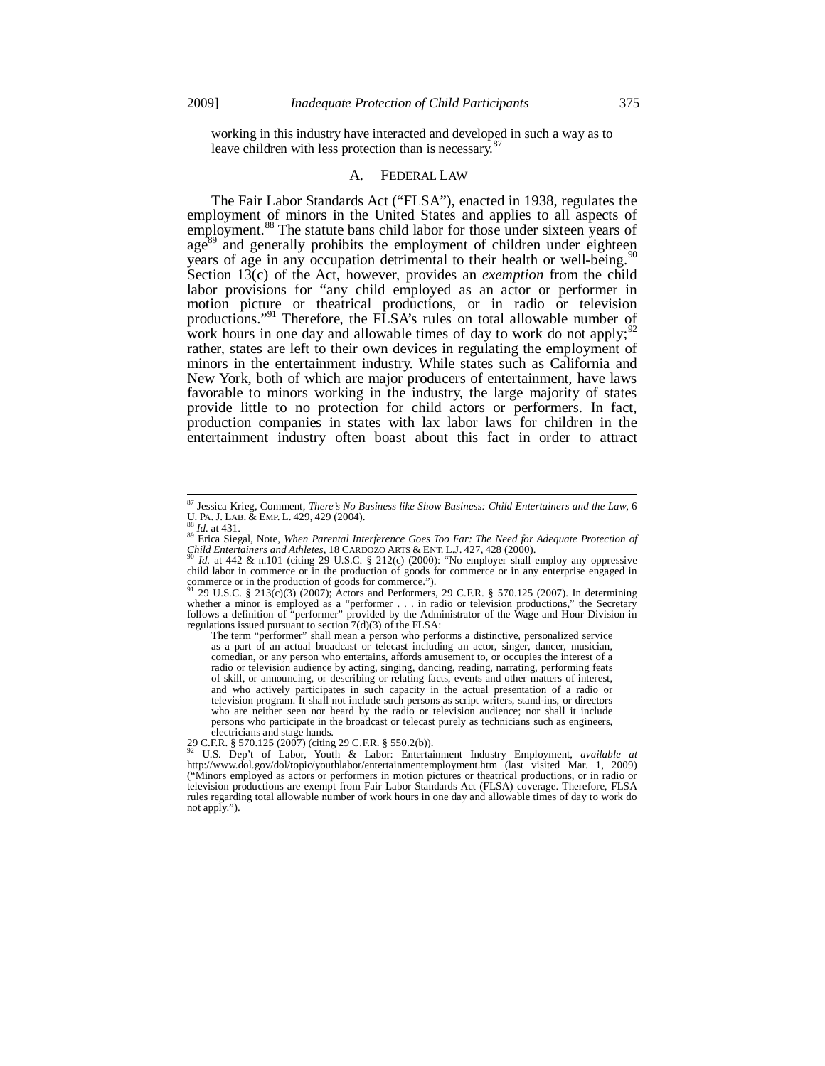working in this industry have interacted and developed in such a way as to leave children with less protection than is necessary.<sup>87</sup>

#### A. FEDERAL LAW

The Fair Labor Standards Act ("FLSA"), enacted in 1938, regulates the employment of minors in the United States and applies to all aspects of employment.<sup>88</sup> The statute bans child labor for those under sixteen years of  $age^{89}$  and generally prohibits the employment of children under eighteen years of age in any occupation detrimental to their health or well-being.<sup>9</sup> Section 13(c) of the Act, however, provides an *exemption* from the child labor provisions for "any child employed as an actor or performer in motion picture or theatrical productions, or in radio or television productions."<sup>91</sup> Therefore, the FLSA's rules on total allowable number of work hours in one day and allowable times of day to work do not apply; $\frac{9}{2}$ rather, states are left to their own devices in regulating the employment of minors in the entertainment industry. While states such as California and New York, both of which are major producers of entertainment, have laws favorable to minors working in the industry, the large majority of states provide little to no protection for child actors or performers. In fact, production companies in states with lax labor laws for children in the entertainment industry often boast about this fact in order to attract

 $\overline{a}$ 

The term "performer" shall mean a person who performs a distinctive, personalized service as a part of an actual broadcast or telecast including an actor, singer, dancer, musician, comedian, or any person who entertains, affords amusement to, or occupies the interest of a radio or television audience by acting, singing, dancing, reading, narrating, performing feats of skill, or announcing, or describing or relating facts, events and other matters of interest, and who actively participates in such capacity in the actual presentation of a radio or television program. It shall not include such persons as script writers, stand-ins, or directors who are neither seen nor heard by the radio or television audience; nor shall it include persons who participate in the broadcast or telecast purely as technicians such as engineers, electricians and stage hands.<br>29 C.F.R. § 570.125 (2007) (citing 29 C.F.R. § 550.2(b)).

<sup>87</sup> Jessica Krieg, Comment, *There's No Business like Show Business: Child Entertainers and the Law*, 6

U. PA. J. LAB. & EMP. L. 429, 429 (2004).<br><sup>88</sup> *Id.* at 431.<br><sup>89</sup> Erica Siegal, Note, *When Parental Interference Goes Too Far: The Need for Adequate Protection of Child Entertainers and Athletes, 18 CARDOZO ARTS & ENT. L.* 

*Id.* at 442 & n.101 (citing 29 U.S.C. § 212(c) (2000): "No employer shall employ any oppressive child labor in commerce or in the production of goods for commerce or in any enterprise engaged in commerce or in the production of goods for commerce.").

<sup>29</sup> U.S.C. § 213(c)(3) (2007); Actors and Performers, 29 C.F.R. § 570.125 (2007). In determining whether a minor is employed as a "performer . . . in radio or television productions," the Secretary follows a definition of "performer" provided by the Administrator of the Wage and Hour Division in regulations issued pursuant to section 7(d)(3) of the FLSA:

<sup>29</sup> C.F.R. § 570.125 (2007) (citing 29 C.F.R. § 550.2(b)).<br><sup>92</sup> U.S. Dep't of Labor, Youth & Labor: Entertainment Industry Employment, *available at*<br>http://www.dol.gov/dol/topic/youthlabor/entertainmentemployment.htm (last ("Minors employed as actors or performers in motion pictures or theatrical productions, or in radio or television productions are exempt from Fair Labor Standards Act (FLSA) coverage. Therefore, FLSA rules regarding total allowable number of work hours in one day and allowable times of day to work do not apply.").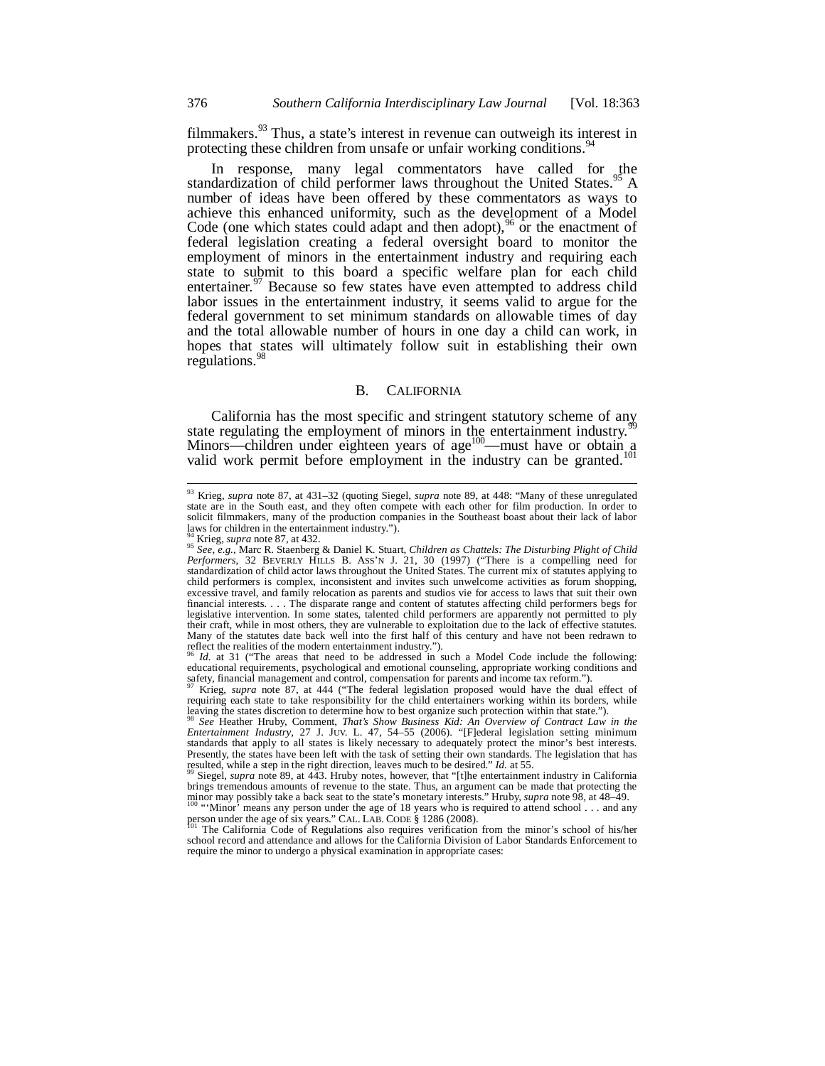filmmakers.<sup>93</sup> Thus, a state's interest in revenue can outweigh its interest in protecting these children from unsafe or unfair working conditions.<sup>9</sup>

In response, many legal commentators have called for the standardization of child performer laws throughout the United States.<sup>95</sup> A number of ideas have been offered by these commentators as ways to achieve this enhanced uniformity, such as the development of a Model Code (one which states could adapt and then adopt),  $96$  or the enactment of federal legislation creating a federal oversight board to monitor the employment of minors in the entertainment industry and requiring each state to submit to this board a specific welfare plan for each child entertainer.<sup>97</sup> Because so few states have even attempted to address child labor issues in the entertainment industry, it seems valid to argue for the federal government to set minimum standards on allowable times of day and the total allowable number of hours in one day a child can work, in hopes that states will ultimately follow suit in establishing their own regulations.<sup>9</sup>

## B. CALIFORNIA

California has the most specific and stringent statutory scheme of any state regulating the employment of minors in the entertainment industry.<sup>9</sup> Minors—children under eighteen years of age<sup>100</sup>—must have or obtain a valid work permit before employment in the industry can be granted.<sup>101</sup>

-

<sup>93</sup> Krieg, *supra* note 87, at 431–32 (quoting Siegel, *supra* note 89, at 448: "Many of these unregulated state are in the South east, and they often compete with each other for film production. In order to solicit filmmakers, many of the production companies in the Southeast boast about their lack of labor laws for children in the entertainment industry.").  $\frac{94}{15}$  Krieg, *supra* note 87, at 432.

<sup>94</sup> Krieg, *supra* note 87, at 432. 95 *See, e.g.*, Marc R. Staenberg & Daniel K. Stuart, *Children as Chattels: The Disturbing Plight of Child Performers*, 32 BEVERLY HILLS B. ASS'N J. 21, 30 (1997) ("There is a compelling need for standardization of child actor laws throughout the United States. The current mix of statutes applying to child performers is complex, inconsistent and invites such unwelcome activities as forum shopping, excessive travel, and family relocation as parents and studios vie for access to laws that suit their own financial interests. . . . The disparate range and content of statutes affecting child performers begs for legislative intervention. In some states, talented child performers are apparently not permitted to ply their craft, while in most others, they are vulnerable to exploitation due to the lack of effective statutes. Many of the statutes date back well into the first half of this century and have not been redrawn to reflect the realities of the modern entertainment industry.").

*Id.* at 31 ("The areas that need to be addressed in such a Model Code include the following: educational requirements, psychological and emotional counseling, appropriate working conditions and safety, financial management and control, compensation for parents and income tax reform.").

<sup>&</sup>lt;sup>97</sup> Krieg, *supra* note 87, at 444 ("The federal legislation proposed would have the dual effect of requiring each state to take responsibility for the child entertainers working within its borders, while leaving the states discretion to determine how to best organize such protection within that state.").

<sup>98</sup> *See* Heather Hruby, Comment, *That's Show Business Kid: An Overview of Contract Law in the Entertainment Industry*, 27 J. JUV. L. 47, 54–55 (2006). "[F]ederal legislation setting minimum standards that apply to all states is likely necessary to adequately protect the minor's best interests. Presently, the states have been left with the task of setting their own standards. The legislation that has resulted, while a step in the right direction, leaves much to be desired." *Id.* at 55.<br><sup>99</sup> Siegel, *supra* note

brings tremendous amounts of revenue to the state. Thus, an argument can be made that protecting the

minor may possibly take a back seat to the state's monetary interests." Hruby, *supra* note 98, at 48–49.<br><sup>100</sup> "'Minor' means any person under the age of 18 years who is required to attend school . . . and any person unde The California Code of Regulations also requires verification from the minor's school of his/her

school record and attendance and allows for the California Division of Labor Standards Enforcement to require the minor to undergo a physical examination in appropriate cases: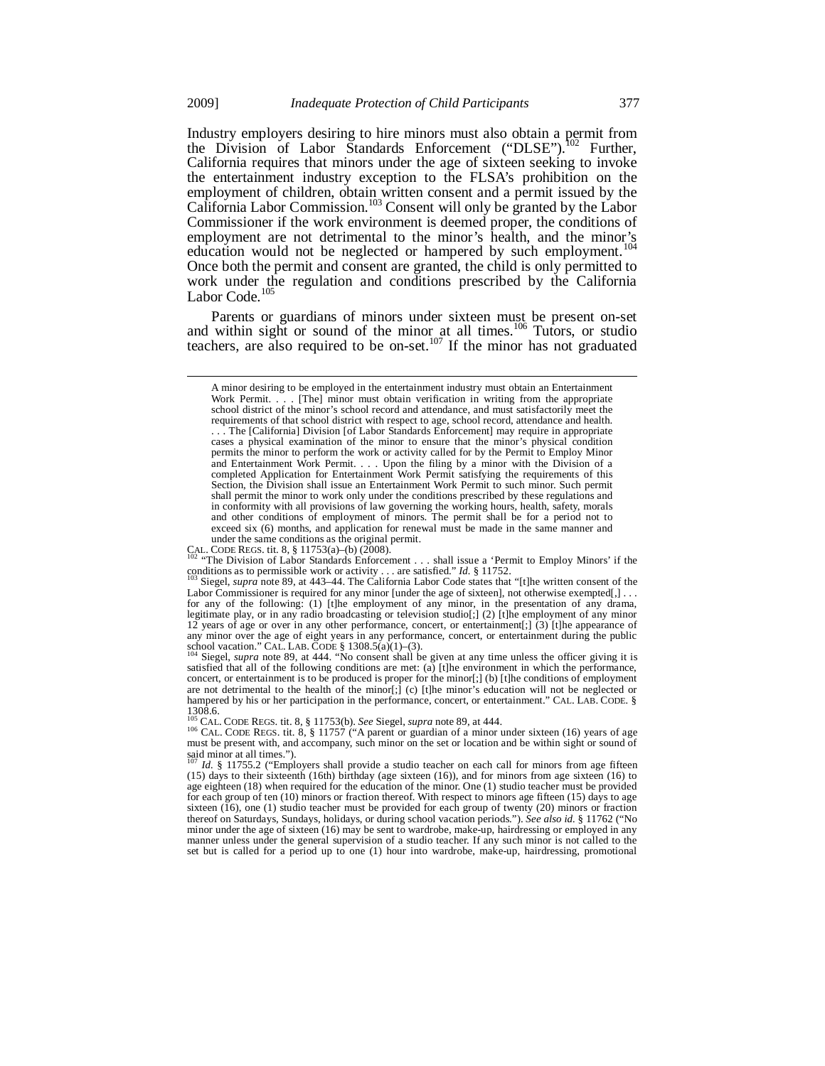Industry employers desiring to hire minors must also obtain a permit from the Division of Labor Standards Enforcement ("DLSE").<sup>102</sup> Further, California requires that minors under the age of sixteen seeking to invoke the entertainment industry exception to the FLSA's prohibition on the employment of children, obtain written consent and a permit issued by the California Labor Commission.<sup>103</sup> Consent will only be granted by the Labor Commissioner if the work environment is deemed proper, the conditions of employment are not detrimental to the minor's health, and the minor's education would not be neglected or hampered by such employment.<sup>1</sup> Once both the permit and consent are granted, the child is only permitted to work under the regulation and conditions prescribed by the California Labor Code.<sup>105</sup>

Parents or guardians of minors under sixteen must be present on-set and within sight or sound of the minor at all times.<sup>106</sup> Tutors, or studio teachers, are also required to be on-set.<sup>107</sup> If the minor has not graduated

<sup>102</sup> "The Division of Labor Standards Enforcement . . . shall issue a 'Permit to Employ Minors' if the conditions as to permissible work or activity . . . are satisfied." *Id.* § 11752.

A minor desiring to be employed in the entertainment industry must obtain an Entertainment Work Permit. . . . [The] minor must obtain verification in writing from the appropriate school district of the minor's school record and attendance, and must satisfactorily meet the requirements of that school district with respect to age, school record, attendance and health. . . . The [California] Division [of Labor Standards Enforcement] may require in appropriate cases a physical examination of the minor to ensure that the minor's physical condition permits the minor to perform the work or activity called for by the Permit to Employ Minor and Entertainment Work Permit. . . . Upon the filing by a minor with the Division of a completed Application for Entertainment Work Permit satisfying the requirements of this Section, the Division shall issue an Entertainment Work Permit to such minor. Such permit shall permit the minor to work only under the conditions prescribed by these regulations and in conformity with all provisions of law governing the working hours, health, safety, morals and other conditions of employment of minors. The permit shall be for a period not to exceed six (6) months, and application for renewal must be made in the same manner and

under the same conditions as the original permit.<br>CAL CODE REGS. tit. 8, § 11753(a)–(b) (2008).

Siegel, *supra* note 89, at 443–44. The California Labor Code states that "[t]he written consent of the Labor Commissioner is required for any minor [under the age of sixteen], not otherwise exempted[,] . . . for any of the following: (1) [t]he employment of any minor, in the presentation of any drama, legitimate play, or in any radio broadcasting or television studio[;] (2) [t]he employment of any minor 12 years of age or over in any other performance, concert, or entertainment[;] (3) [t]he appearance of any minor over the age of eight years in any performance, concert, or entertainment during the public school vacation." CAL. LAB. CODE § 1308.5(a)(1)–(3). 104 Siegel, *supra* note 89, at 444. "No consent shall be given at any time unless the officer giving it is <sup>104</sup> Siegel, *supra* note 89, at 444. "No consent shall be

satisfied that all of the following conditions are met: (a)  $[t]$  the environment in which the performance, concert, or entertainment is to be produced is proper for the minor[;] (b) [t]he conditions of employment are not detrimental to the health of the minor[;] (c) [t]he minor's education will not be neglected or hampered by his or her participation in the performance, concert, or entertainment." CAL. LAB. CODE*.* §  $1308.6$ .

<sup>&</sup>lt;sup>105</sup> CAL. CODE REGS. tit. 8, § 11753(b). *See* Siegel, *supra* note 89, at 444.<br><sup>106</sup> CAL. CODE REGS. tit. 8, § 11757 ("A parent or guardian of a minor under sixteen (16) years of age must be present with, and accompany, such minor on the set or location and be within sight or sound of said minor at all times.").

*Id.* § 11755.2 ("Employers shall provide a studio teacher on each call for minors from age fifteen (15) days to their sixteenth (16th) birthday (age sixteen (16)), and for minors from age sixteen (16) to age eighteen (18) when required for the education of the minor. One (1) studio teacher must be provided for each group of ten (10) minors or fraction thereof. With respect to minors age fifteen (15) days to age sixteen (16), one (1) studio teacher must be provided for each group of twenty (20) minors or fraction thereof on Saturdays, Sundays, holidays, or during school vacation periods."). *See also id.* § 11762 ("No minor under the age of sixteen (16) may be sent to wardrobe, make-up, hairdressing or employed in any manner unless under the general supervision of a studio teacher. If any such minor is not called to the set but is called for a period up to one (1) hour into wardrobe, make-up, hairdressing, promotional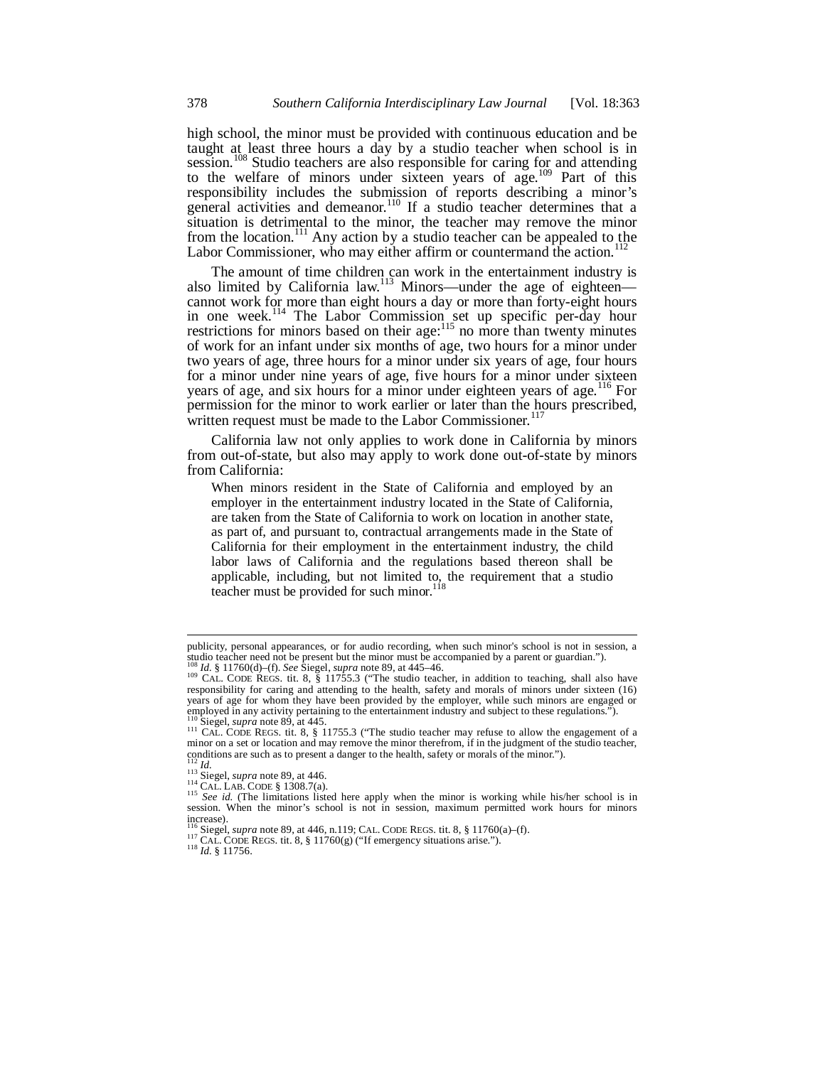high school, the minor must be provided with continuous education and be taught at least three hours a day by a studio teacher when school is in session.<sup>108</sup> Studio teachers are also responsible for caring for and attending to the welfare of minors under sixteen years of age.<sup>109</sup> Part of this responsibility includes the submission of reports describing a minor's general activities and demeanor.<sup>110</sup> If a studio teacher determines that a situation is detrimental to the minor, the teacher may remove the minor from the location.<sup>111</sup> Any action by a studio teacher can be appealed to the Labor Commissioner, who may either affirm or countermand the action.<sup>112</sup>

The amount of time children can work in the entertainment industry is also limited by California law.<sup>113</sup> Minors—under the age of eighteen cannot work for more than eight hours a day or more than forty-eight hours in one week.<sup>114</sup> The Labor Commission set up specific per-day hour restrictions for minors based on their age: $^{115}$  no more than twenty minutes of work for an infant under six months of age, two hours for a minor under two years of age, three hours for a minor under six years of age, four hours for a minor under nine years of age, five hours for a minor under sixteen years of age, and six hours for a minor under eighteen years of age.<sup>116</sup> For permission for the minor to work earlier or later than the hours prescribed, written request must be made to the Labor Commissioner.<sup>117</sup>

California law not only applies to work done in California by minors from out-of-state, but also may apply to work done out-of-state by minors from California:

When minors resident in the State of California and employed by an employer in the entertainment industry located in the State of California, are taken from the State of California to work on location in another state, as part of, and pursuant to, contractual arrangements made in the State of California for their employment in the entertainment industry, the child labor laws of California and the regulations based thereon shall be applicable, including, but not limited to, the requirement that a studio teacher must be provided for such minor. $118$ 

l

publicity, personal appearances, or for audio recording, when such minor's school is not in session, a studio teacher need not be present but the minor must be accompanied by a parent or guardian.").<br><sup>108</sup> *Id.* § 11760(d)–(f). *See* Siegel, *supra* note 89, at 445–46.

<sup>&</sup>lt;sup>109</sup> CAL. CODE REGS. tit. 8, § 11755.3 ("The studio teacher, in addition to teaching, shall also have responsibility for caring and attending to the health, safety and morals of minors under sixteen (16) years of age for whom they have been provided by the employer, while such minors are engaged or employed in any activity pertaining to the entertainment industry and subject to these regulations.").<br><sup>110</sup> Siegel, *supra* note 89, at 445.

<sup>&</sup>lt;sup>111</sup> CAL. CODE REGS. tit. 8, § 11755.3 ("The studio teacher may refuse to allow the engagement of a minor on a set or location and may remove the minor therefrom, if in the judgment of the studio teacher, conditions are such as to present a danger to the health, safety or morals of the minor.").<br> $\frac{112}{113}$  Id.<br> $\frac{113}{113}$  Siegel, *supra* note 89, at 446.

<sup>&</sup>lt;sup>112</sup> Id.<br>
<sup>113</sup> Siegel, *supra* note 89, at 446.<br>
<sup>114</sup> CAL. LAB. CODE § 1308.7(a).<br>
<sup>115</sup> See id. (The limitations listed here apply when the minor is working while his/her school is in<br>
<sup>115</sup> See id. (The limitations l increase).<br><sup>116</sup> Siegel, *supra* note 89, at 446, n.119; CAL. CODE REGS. tit. 8, § 11760(a)–(f).

<sup>117</sup> CAL. CODE REGS. tit. 8, § 11760(g) ("If emergency situations arise.").<br><sup>118</sup> *Id.* § 11756.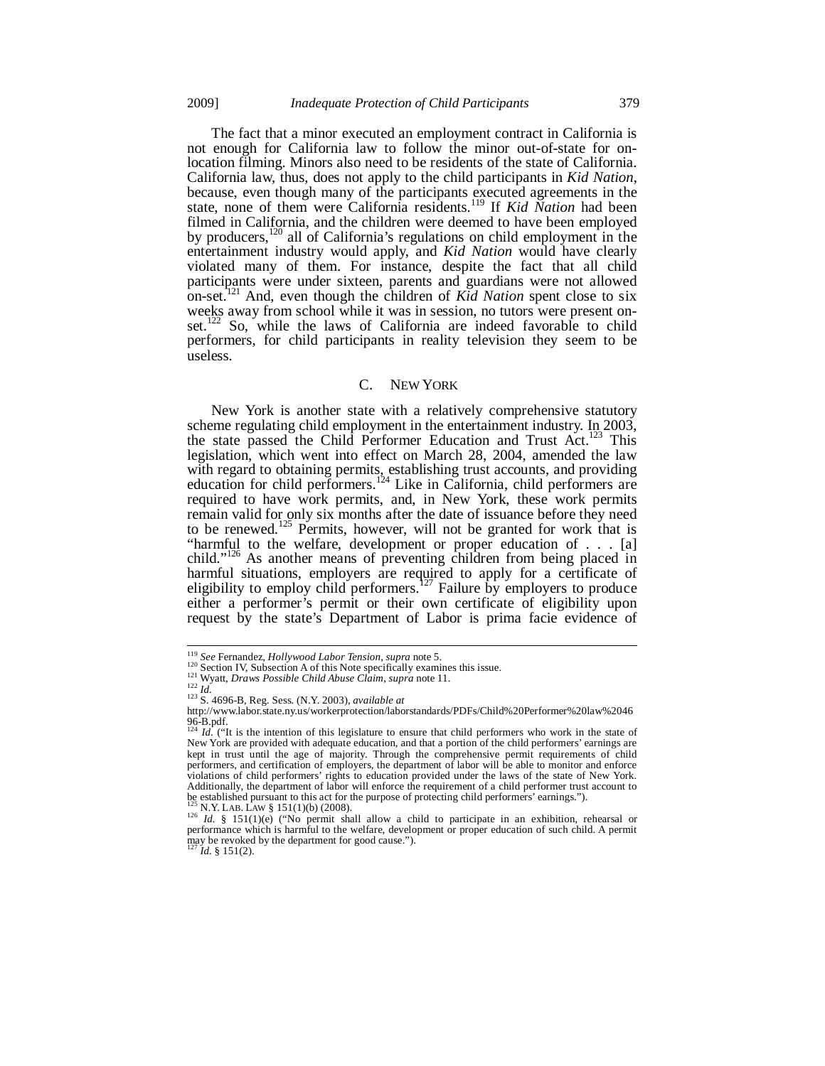The fact that a minor executed an employment contract in California is not enough for California law to follow the minor out-of-state for onlocation filming. Minors also need to be residents of the state of California. California law, thus, does not apply to the child participants in *Kid Nation*, because, even though many of the participants executed agreements in the state, none of them were California residents.119 If *Kid Nation* had been filmed in California, and the children were deemed to have been employed by producers,<sup>120</sup> all of California's regulations on child employment in the entertainment industry would apply, and *Kid Nation* would have clearly violated many of them. For instance, despite the fact that all child participants were under sixteen, parents and guardians were not allowed on-set.121 And, even though the children of *Kid Nation* spent close to six weeks away from school while it was in session, no tutors were present onset.<sup>122</sup> So, while the laws of California are indeed favorable to child performers, for child participants in reality television they seem to be useless.

## C. NEW YORK

New York is another state with a relatively comprehensive statutory scheme regulating child employment in the entertainment industry. In 2003, the state passed the Child Performer Education and Trust Act.<sup>123</sup> This legislation, which went into effect on March 28, 2004, amended the law with regard to obtaining permits, establishing trust accounts, and providing education for child performers.<sup>124</sup> Like in California, child performers are required to have work permits, and, in New York, these work permits remain valid for only six months after the date of issuance before they need to be renewed.<sup>125</sup> Permits, however, will not be granted for work that is "harmful to the welfare, development or proper education of . . . [a] child."<sup>126</sup> As another means of preventing children from being placed in harmful situations, employers are required to apply for a certificate of eligibility to employ child performers.<sup>127</sup> Failure by employers to produce either a performer's permit or their own certificate of eligibility upon request by the state's Department of Labor is prima facie evidence of

<sup>&</sup>lt;sup>119</sup> See Fernandez, Hollywood Labor Tension, supra note 5.

<sup>&</sup>lt;sup>120</sup> Section IV, Subsection A of this Note specifically examines this issue.<br>
<sup>121</sup> Section IV, Subsection A of this Note specifically examines this issue.<br>
<sup>122</sup> Id.<br>
<sup>123</sup> S. 4696-B, Reg. Sess. (N.Y. 2003), *available* 

http://www.labor.state.ny.us/workerprotection/laborstandards/PDFs/Child%20Performer%20law%2046 96-B.pdf.<br><sup>124</sup> *Id.* ("It is the intention of this legislature to ensure that child performers who work in the state of

New York are provided with adequate education, and that a portion of the child performers' earnings are kept in trust until the age of majority. Through the comprehensive permit requirements of child performers, and certification of employers, the department of labor will be able to monitor and enforce violations of child performers' rights to education provided under the laws of the state of New York. Additionally, the department of labor will enforce the requirement of a child performer trust account to be established pursuant to this act for the purpose of protecting child performers' earnings.").<br> $^{125}$  N.Y. LAB. LAW § 151(1)(b) (2008).

<sup>&</sup>lt;sup>125</sup> N.Y. LAB. LAW § 151(1)(b) (2008).<br><sup>126</sup> *Id.* § 151(1)(e) ("No permit shall allow a child to participate in an exhibition, rehearsal or performance which is harmful to the welfare, development or proper education of may be revoked by the department for good cause."). <sup>127</sup> *Id.* § 151(2).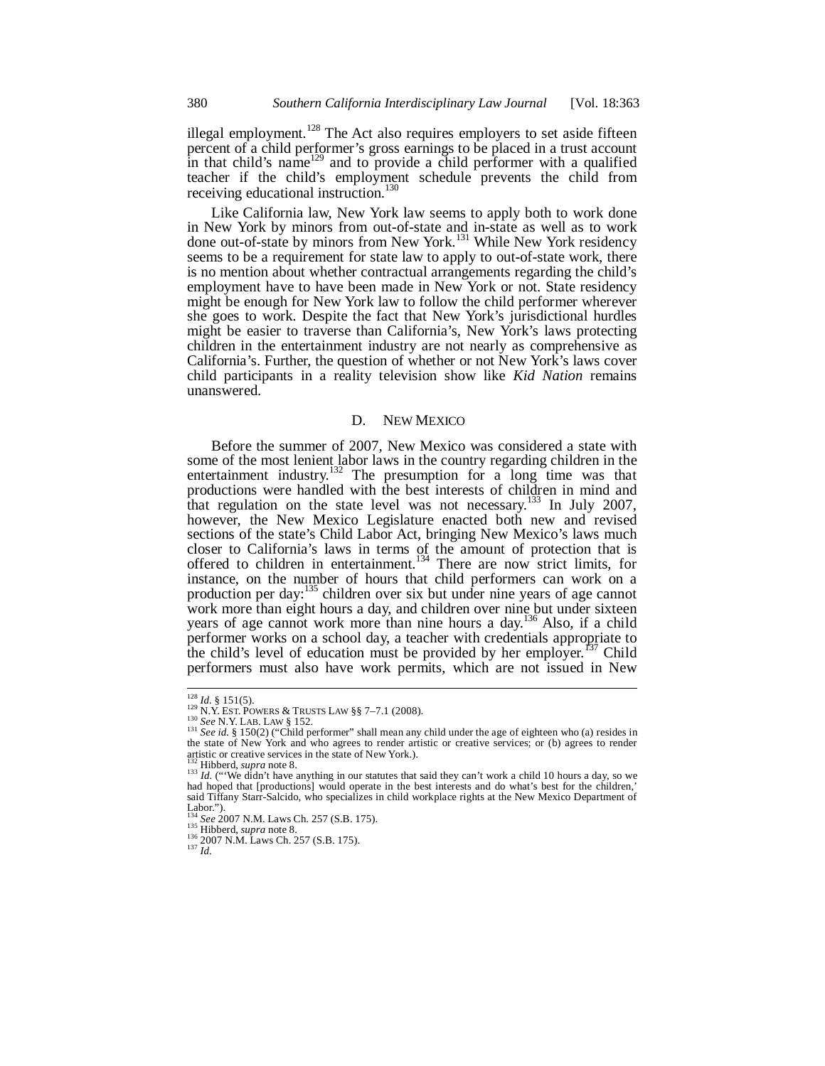illegal employment.<sup>128</sup> The Act also requires employers to set aside fifteen percent of a child performer's gross earnings to be placed in a trust account in that child's name<sup>129</sup> and to provide a child performer with a qualified teacher if the child's employment schedule prevents the child from receiving educational instruction.<sup>130</sup>

Like California law, New York law seems to apply both to work done in New York by minors from out-of-state and in-state as well as to work done out-of-state by minors from New York.<sup>131</sup> While New York residency seems to be a requirement for state law to apply to out-of-state work, there is no mention about whether contractual arrangements regarding the child's employment have to have been made in New York or not. State residency might be enough for New York law to follow the child performer wherever she goes to work. Despite the fact that New York's jurisdictional hurdles might be easier to traverse than California's, New York's laws protecting children in the entertainment industry are not nearly as comprehensive as California's. Further, the question of whether or not New York's laws cover child participants in a reality television show like *Kid Nation* remains unanswered.

## D. NEW MEXICO

Before the summer of 2007, New Mexico was considered a state with some of the most lenient labor laws in the country regarding children in the entertainment industry.<sup>132</sup> The presumption for a long time was that productions were handled with the best interests of children in mind and that regulation on the state level was not necessary.<sup>133</sup> In July 2007, however, the New Mexico Legislature enacted both new and revised sections of the state's Child Labor Act, bringing New Mexico's laws much closer to California's laws in terms of the amount of protection that is offered to children in entertainment.<sup>134</sup> There are now strict limits, for instance, on the number of hours that child performers can work on a production per day:<sup>135</sup> children over six but under nine years of age cannot work more than eight hours a day, and children over nine but under sixteen years of age cannot work more than nine hours a day.<sup>136</sup> Also, if a child performer works on a school day, a teacher with credentials appropriate to the child's level of education must be provided by her employer.<sup>137</sup> Child performers must also have work permits, which are not issued in New

j

<sup>&</sup>lt;sup>128</sup> *Id.* § 151(5).<br><sup>129</sup> N.Y. EST. POWERS & TRUSTS LAW §§ 7–7.1 (2008).<br><sup>130</sup> *See* N.Y. LAB. LAW § 152.<br><sup>131</sup> *See id.* § 150(2) ("Child performer" shall mean any child under the age of eighteen who (a) resides in 131 See id. § 150(2) ("Child performer" shall mean any child under the age of eighteen who (a) resides in the state of New York and who agrees to render artistic or creative services; or (b) agrees to render artistic or creative services in the state of New York.).<br> $132$  Hibberd. *supra* note 8.

<sup>&</sup>lt;sup>133</sup> *Id.* ("We didn't have anything in our statutes that said they can't work a child 10 hours a day, so we had hoped that [productions] would operate in the best interests and do what's best for the children,' said Tiffany Starr-Salcido, who specializes in child workplace rights at the New Mexico Department of

Labor.").<br><sup>134</sup> *See* 2007 N.M. Laws Ch. 257 (S.B. 175).<br><sup>135</sup> Hibberd, *supra* note 8.

<sup>134</sup> *See* 2007 N.M. Laws Ch. 257 (S.B. 175). 135 Hibberd, *supra* note 8. 136 2007 N.M. Laws Ch. 257 (S.B. 175). 137 *Id.*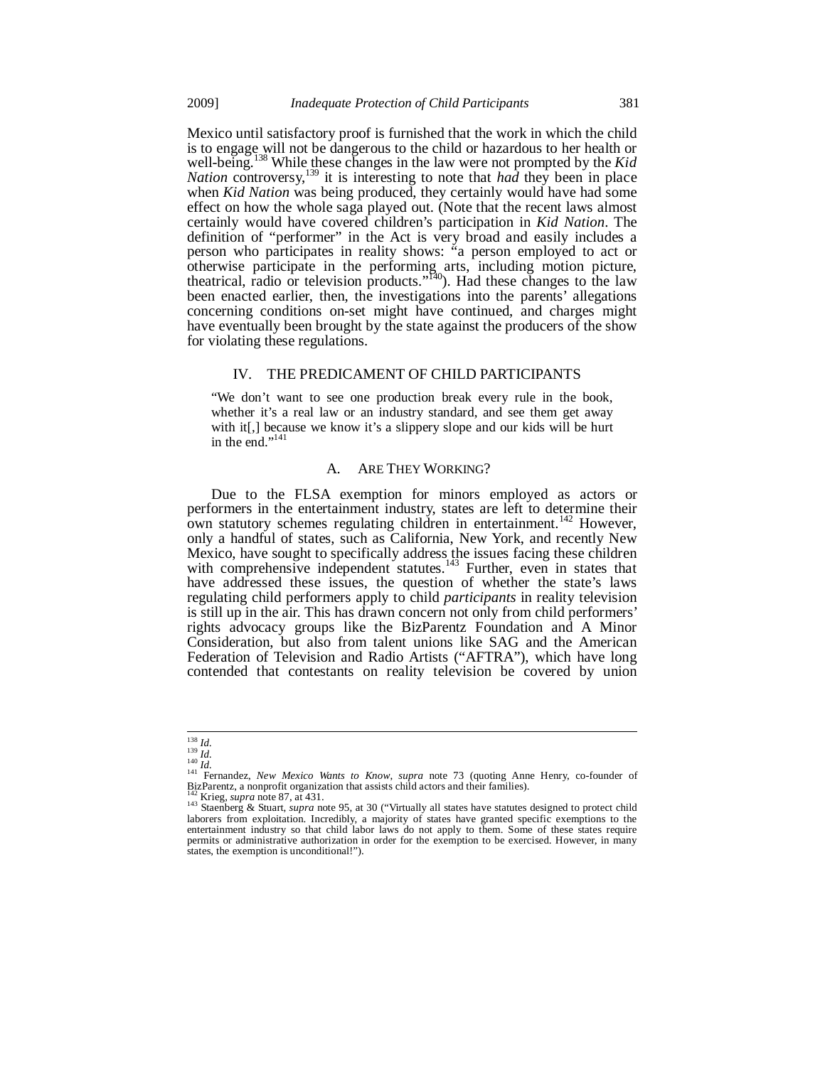Mexico until satisfactory proof is furnished that the work in which the child is to engage will not be dangerous to the child or hazardous to her health or well-being.<sup>138</sup> While these changes in the law were not prompted by the *Kid Nation* controversy,<sup>139</sup> it is interesting to note that *had* they been in place when *Kid Nation* was being produced, they certainly would have had some effect on how the whole saga played out. (Note that the recent laws almost certainly would have covered children's participation in *Kid Nation*. The definition of "performer" in the Act is very broad and easily includes a person who participates in reality shows: "a person employed to act or otherwise participate in the performing arts, including motion picture, theatrical, radio or television products."<sup>140</sup>). Had these changes to the law been enacted earlier, then, the investigations into the parents' allegations concerning conditions on-set might have continued, and charges might have eventually been brought by the state against the producers of the show for violating these regulations.

## IV. THE PREDICAMENT OF CHILD PARTICIPANTS

"We don't want to see one production break every rule in the book, whether it's a real law or an industry standard, and see them get away with it[,] because we know it's a slippery slope and our kids will be hurt in the end." $141$ 

#### A. ARE THEY WORKING?

Due to the FLSA exemption for minors employed as actors or performers in the entertainment industry, states are left to determine their own statutory schemes regulating children in entertainment.<sup>142</sup> However, only a handful of states, such as California, New York, and recently New Mexico, have sought to specifically address the issues facing these children with comprehensive independent statutes.<sup>143</sup> Further, even in states that have addressed these issues, the question of whether the state's laws regulating child performers apply to child *participants* in reality television is still up in the air. This has drawn concern not only from child performers' rights advocacy groups like the BizParentz Foundation and A Minor Consideration, but also from talent unions like SAG and the American Federation of Television and Radio Artists ("AFTRA"), which have long contended that contestants on reality television be covered by union

 $\frac{138}{139}\frac{Id}{Id}$ <br> $\frac{140}{140}\frac{Id}{Id}$ 

<sup>&</sup>lt;sup>141</sup> Fernandez, *New Mexico Wants to Know, supra* note 73 (quoting Anne Henry, co-founder of BizParentz, a nonprofit organization that assists child actors and their families).<br><sup>142</sup> Krieg, *supra* note 87, at 431.

<sup>143</sup> Staenberg & Stuart, *supra* note 95, at 30 ("Virtually all states have statutes designed to protect child<br><sup>143</sup> Staenberg & Stuart, *supra* note 95, at 30 ("Virtually all states have granted specific exemptions to the laborers from exploitation. Incredibly, a majority of states have granted specific exemptions to the entertainment industry so that child labor laws do not apply to them. Some of these states require permits or administrative authorization in order for the exemption to be exercised. However, in many states, the exemption is unconditional!").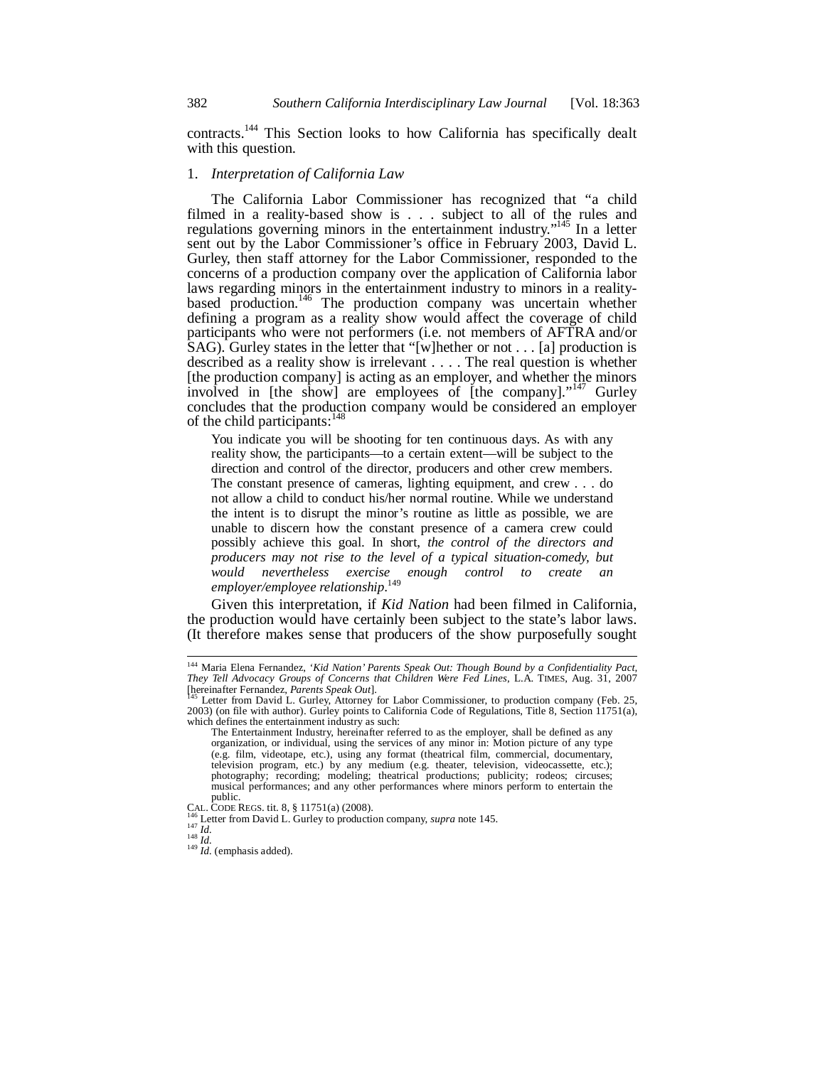382 *Southern California Interdisciplinary Law Journal* [Vol. 18:363

contracts.<sup>144</sup> This Section looks to how California has specifically dealt with this question.

# 1. *Interpretation of California Law*

The California Labor Commissioner has recognized that "a child filmed in a reality-based show is . . . subject to all of the rules and regulations governing minors in the entertainment industry."<sup>145</sup> In a letter sent out by the Labor Commissioner's office in February 2003, David L. Gurley, then staff attorney for the Labor Commissioner, responded to the concerns of a production company over the application of California labor laws regarding minors in the entertainment industry to minors in a realitybased production.<sup>146</sup> The production company was uncertain whether defining a program as a reality show would affect the coverage of child participants who were not performers (i.e. not members of AFTRA and/or SAG). Gurley states in the letter that "[w]hether or not . . . [a] production is described as a reality show is irrelevant . . . . The real question is whether [the production company] is acting as an employer, and whether the minors involved in [the show] are employees of [the company]."<sup>147</sup> Gurley concludes that the production company would be considered an employer of the child participants:  $148$ 

You indicate you will be shooting for ten continuous days. As with any reality show, the participants—to a certain extent—will be subject to the direction and control of the director, producers and other crew members. The constant presence of cameras, lighting equipment, and crew . . . do not allow a child to conduct his/her normal routine. While we understand the intent is to disrupt the minor's routine as little as possible, we are unable to discern how the constant presence of a camera crew could possibly achieve this goal. In short, *the control of the directors and producers may not rise to the level of a typical situation-comedy, but would nevertheless exercise enough control to create an employer/employee relationship*. 149

Given this interpretation, if *Kid Nation* had been filmed in California, the production would have certainly been subject to the state's labor laws. (It therefore makes sense that producers of the show purposefully sought

j

<sup>144</sup> Maria Elena Fernandez, *'Kid Nation' Parents Speak Out: Though Bound by a Confidentiality Pact, They Tell Advocacy Groups of Concerns that Children Were Fed Lines*, L.A. TIMES, Aug. 31, 2007<br>
[hereinafter Fernandez, *Parents Speak Out*].

**Letter from David L. Gurley, Attorney for Labor Commissioner, to production company (Feb. 25,** 2003) (on file with author). Gurley points to California Code of Regulations, Title 8, Section 11751(a), which defines the entertainment industry as such:

The Entertainment Industry, hereinafter referred to as the employer, shall be defined as any organization, or individual, using the services of any minor in: Motion picture of any type (e.g. film, videotape, etc.), using any format (theatrical film, commercial, documentary, television program, etc.) by any medium (e.g. theater, television, videocassette, etc.); photography; recording; modeling; theatrical productions; publicity; rodeos; circuses; musical performances; and any other performances where minors perform to entertain the public.<br>CAL. CODE REGS. tit. 8, § 11751(a) (2008).

<sup>&</sup>lt;sup>146</sup> Letter from David L. Gurley to production company, *supra* note 145.<br><sup>147</sup> *Id.* 148 *Id.* 148 *Id.* (emphasis added).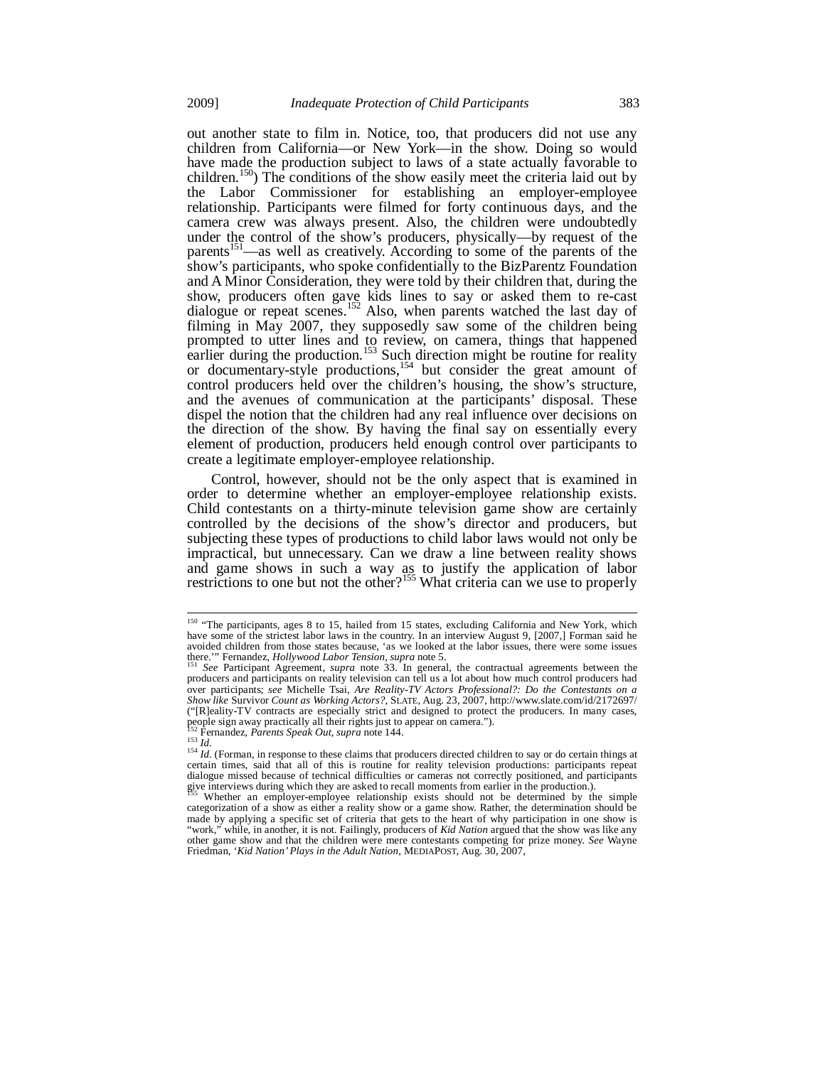out another state to film in. Notice, too, that producers did not use any children from California—or New York—in the show. Doing so would have made the production subject to laws of a state actually favorable to children.<sup>150</sup>) The conditions of the show easily meet the criteria laid out by the Labor Commissioner for establishing an employer-employee relationship. Participants were filmed for forty continuous days, and the camera crew was always present. Also, the children were undoubtedly under the control of the show's producers, physically—by request of the parents<sup>151</sup>—as well as creatively. According to some of the parents of the show's participants, who spoke confidentially to the BizParentz Foundation and A Minor Consideration, they were told by their children that, during the show, producers often gave kids lines to say or asked them to re-cast dialogue or repeat scenes.<sup>152</sup> Also, when parents watched the last day of filming in May 2007, they supposedly saw some of the children being prompted to utter lines and to review, on camera, things that happened earlier during the production.<sup>153</sup> Such direction might be routine for reality or documentary-style productions,<sup>154</sup> but consider the great amount of control producers held over the children's housing, the show's structure, and the avenues of communication at the participants' disposal. These dispel the notion that the children had any real influence over decisions on the direction of the show. By having the final say on essentially every element of production, producers held enough control over participants to create a legitimate employer-employee relationship.

Control, however, should not be the only aspect that is examined in order to determine whether an employer-employee relationship exists. Child contestants on a thirty-minute television game show are certainly controlled by the decisions of the show's director and producers, but subjecting these types of productions to child labor laws would not only be impractical, but unnecessary. Can we draw a line between reality shows and game shows in such a way as to justify the application of labor restrictions to one but not the other?<sup>155</sup> What criteria can we use to properly

j

<sup>&</sup>lt;sup>150</sup> "The participants, ages 8 to 15, hailed from 15 states, excluding California and New York, which have some of the strictest labor laws in the country. In an interview August 9, [2007,] Forman said he avoided children from those states because, 'as we looked at the labor issues, there were some issues there.'" Fernandez, *Hollywood Labor Tension*, *supra* note 5.<br><sup>151</sup> *See* Participant Agreement, *supra* note 33. In general, the contractual agreements between the

producers and participants on reality television can tell us a lot about how much control producers had over participants; see Michelle Tsai, Are Reality-TV Actors Professional?: Do the Contestants on a<br>Show like Survivor Count as Working Actors?, SLATE, Aug. 23, 2007, http://www.slate.com/id/2172697/ ("[R]eality-TV contracts are especially strict and designed to protect the producers. In many cases, people sign away practically all their rights just to appear on camera.").<br><sup>152</sup> Fernandez, *Parents Speak Out, supra* note 144.

<sup>&</sup>lt;sup>152</sup> Fernandez, *Parents Speak Out, supra* note 144.<br><sup>153</sup> *Id.*<br><sup>154</sup> *Id.* (Forman, in response to these claims that producers directed children to say or do certain things at certain times, said that all of this is ro dialogue missed because of technical difficulties or cameras not correctly positioned, and participants give interviews during which they are asked to recall moments from earlier in the production.).

Whether an employer-employee relationship exists should not be determined by the simple categorization of a show as either a reality show or a game show. Rather, the determination should be made by applying a specific set of criteria that gets to the heart of why participation in one show is<br>"work" while in another it is not Failingly producers of *Kid Nation* argued that the show was like any while, in another, it is not. Failingly, producers of *Kid Nation* argued that the show was like any other game show and that the children were mere contestants competing for prize money. *See* Wayne Friedman, *'Kid Nation' Plays in the Adult Nation*, MEDIAPOST, Aug. 30, 2007,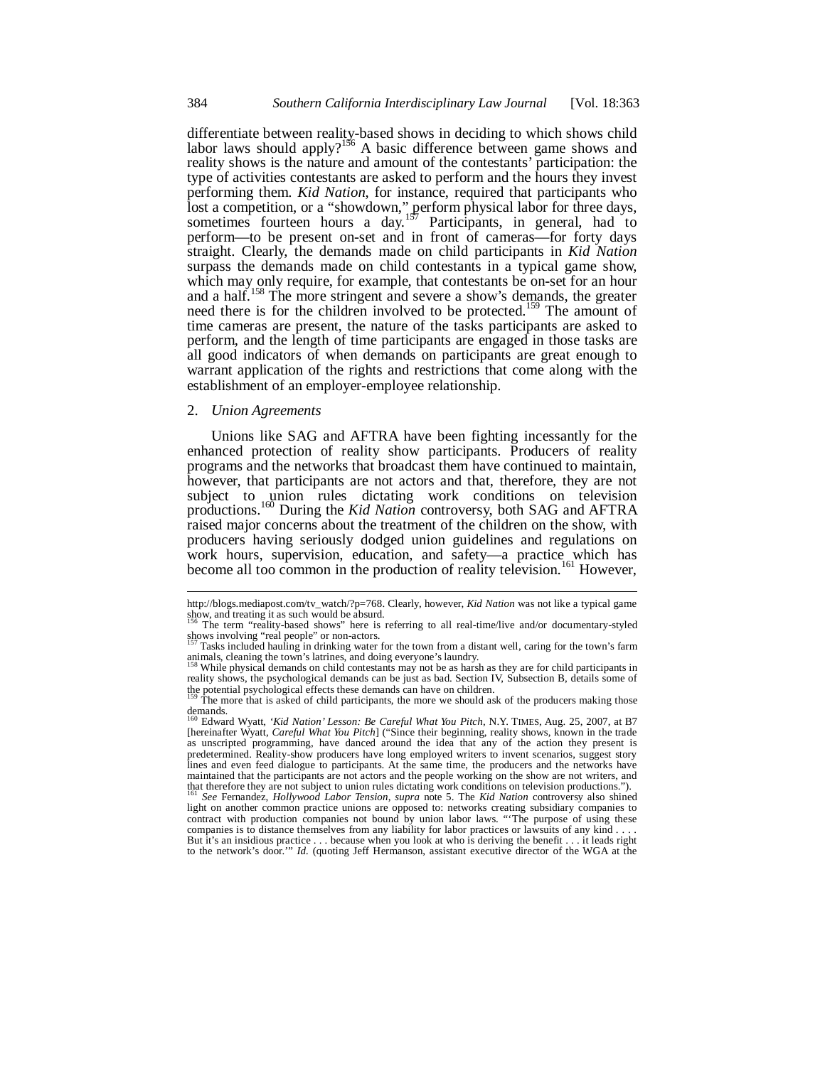differentiate between reality-based shows in deciding to which shows child labor laws should apply?<sup>156</sup> A basic difference between game shows and reality shows is the nature and amount of the contestants' participation: the type of activities contestants are asked to perform and the hours they invest performing them. *Kid Nation*, for instance, required that participants who lost a competition, or a "showdown," perform physical labor for three days, sometimes fourteen hours a day.<sup>157</sup> Participants, in general, had to perform—to be present on-set and in front of cameras—for forty days straight. Clearly, the demands made on child participants in *Kid Nation*  surpass the demands made on child contestants in a typical game show, which may only require, for example, that contestants be on-set for an hour and a half.<sup>158</sup> The more stringent and severe a show's demands, the greater need there is for the children involved to be protected.<sup>159</sup> The amount of time cameras are present, the nature of the tasks participants are asked to perform, and the length of time participants are engaged in those tasks are all good indicators of when demands on participants are great enough to warrant application of the rights and restrictions that come along with the establishment of an employer-employee relationship.

### 2. *Union Agreements*

-

Unions like SAG and AFTRA have been fighting incessantly for the enhanced protection of reality show participants. Producers of reality programs and the networks that broadcast them have continued to maintain, however, that participants are not actors and that, therefore, they are not subject to union rules dictating work conditions on television productions.160 During the *Kid Nation* controversy, both SAG and AFTRA raised major concerns about the treatment of the children on the show, with producers having seriously dodged union guidelines and regulations on work hours, supervision, education, and safety—a practice which has become all too common in the production of reality television.<sup>161</sup> However,

http://blogs.mediapost.com/tv\_watch/?p=768. Clearly, however, *Kid Nation* was not like a typical game<br>blow, and treating it as such would be absurd.

show, and treating it as such would be absurd.<br><sup>156</sup> The term "reality-based shows" here is referring to all real-time/live and/or documentary-styled<br>shows involving "real people" or non-actors.

Tasks included hauling in drinking water for the town from a distant well, caring for the town's farm animals, cleaning the town's latrines, and doing everyone's laundry.

While physical demands on child contestants may not be as harsh as they are for child participants in reality shows, the psychological demands can be just as bad. Section IV, Subsection B, details some of the potential psychological effects these demands can have on children.<br><sup>159</sup> The more that is asked of child participants, the more we should ask of the producers making those

demands.<br><sup>160</sup> Edward Wyatt, *'Kid Nation' Lesson: Be Careful What You Pitch*, N.Y. TIMES, Aug. 25, 2007, at B7<br>[hereinafter Wyatt, *Careful What You Pitch*] ("Since their beginning, reality shows, known in the trade as unscripted programming, have danced around the idea that any of the action they present is predetermined. Reality-show producers have long employed writers to invent scenarios, suggest story lines and even feed dialogue to participants. At the same time, the producers and the networks have maintained that the participants are not actors and the people working on the show are not writers, and that therefore they are not subject to union rules dictating work conditions on television productions.").

<sup>161</sup> *See* Fernandez, *Hollywood Labor Tension*, *supra* note 5. The *Kid Nation* controversy also shined light on another common practice unions are opposed to: networks creating subsidiary companies to contract with production companies not bound by union labor laws. "The purpose of using these companies is to distance themselves from any liability for labor practices or lawsuits of any kind . . . . But it's an insidious practice . . . because when you look at who is deriving the benefit . . . it leads right to the network's door.'" *Id.* (quoting Jeff Hermanson, assistant executive director of the WGA at the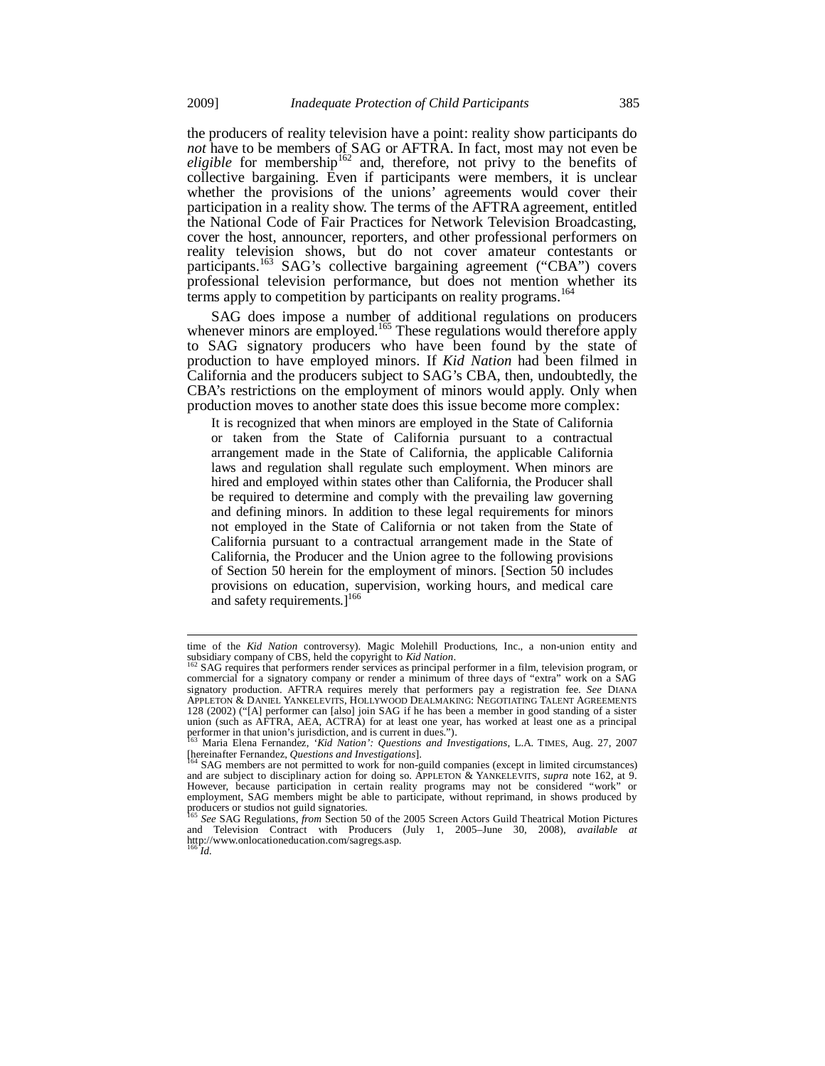the producers of reality television have a point: reality show participants do *not* have to be members of SAG or AFTRA. In fact, most may not even be eligible for membership<sup>162</sup> and, therefore, not privy to the benefits of collective bargaining. Even if participants were members, it is unclear whether the provisions of the unions' agreements would cover their participation in a reality show. The terms of the AFTRA agreement, entitled the National Code of Fair Practices for Network Television Broadcasting, cover the host, announcer, reporters, and other professional performers on reality television shows, but do not cover amateur contestants or participants.<sup>163</sup> SAG's collective bargaining agreement ("CBA") covers professional television performance, but does not mention whether its terms apply to competition by participants on reality programs.<sup>164</sup>

SAG does impose a number of additional regulations on producers whenever minors are employed.<sup>165</sup> These regulations would therefore apply to SAG signatory producers who have been found by the state of production to have employed minors. If *Kid Nation* had been filmed in California and the producers subject to SAG's CBA, then, undoubtedly, the CBA's restrictions on the employment of minors would apply. Only when production moves to another state does this issue become more complex:

It is recognized that when minors are employed in the State of California or taken from the State of California pursuant to a contractual arrangement made in the State of California, the applicable California laws and regulation shall regulate such employment. When minors are hired and employed within states other than California, the Producer shall be required to determine and comply with the prevailing law governing and defining minors. In addition to these legal requirements for minors not employed in the State of California or not taken from the State of California pursuant to a contractual arrangement made in the State of California, the Producer and the Union agree to the following provisions of Section 50 herein for the employment of minors. [Section 50 includes provisions on education, supervision, working hours, and medical care and safety requirements. $]^{166}$ 

l

time of the *Kid Nation* controversy). Magic Molehill Productions, Inc., a non-union entity and subsidiary company of CBS, held the copyright to *Kid Nation*.

SAG requires that performers render services as principal performer in a film, television program, or commercial for a signatory company or render a minimum of three days of "extra" work on a SAG signatory production. AFTRA requires merely that performers pay a registration fee. *See* DIANA APPLETON & DANIEL YANKELEVITS, HOLLYWOOD DEALMAKING: NEGOTIATING TALENT AGREEMENTS 128 (2002) ("[A] performer can [also] join SAG if he has been a member in good standing of a sister union (such as AFTRA, AEA, ACTRA) for at least one year, has worked at least one as a principal performer in that union's jurisdiction, and is current in dues.").

<sup>163</sup> Maria Elena Fernandez, *'Kid Nation': Questions and Investigations*, L.A. TIMES, Aug. 27, 2007 [hereinafter Fernandez, *Questions and Investigations*]. 164 SAG members are not permitted to work for non-guild companies (except in limited circumstances)

and are subject to disciplinary action for doing so. APPLETON & YANKELEVITS, *supra* note 162, at 9. However, because participation in certain reality programs may not be considered "work" or employment, SAG members might be able to participate, without reprimand, in shows produced by producers or studios not guild signatories.

<sup>165</sup> *See* SAG Regulations, *from* Section 50 of the 2005 Screen Actors Guild Theatrical Motion Pictures and Television Contract with Producers (July 1, 2005–June 30, 2008), *available at* http://www.onlocationeducation.com/sagregs.asp. <sup>166</sup> *Id.*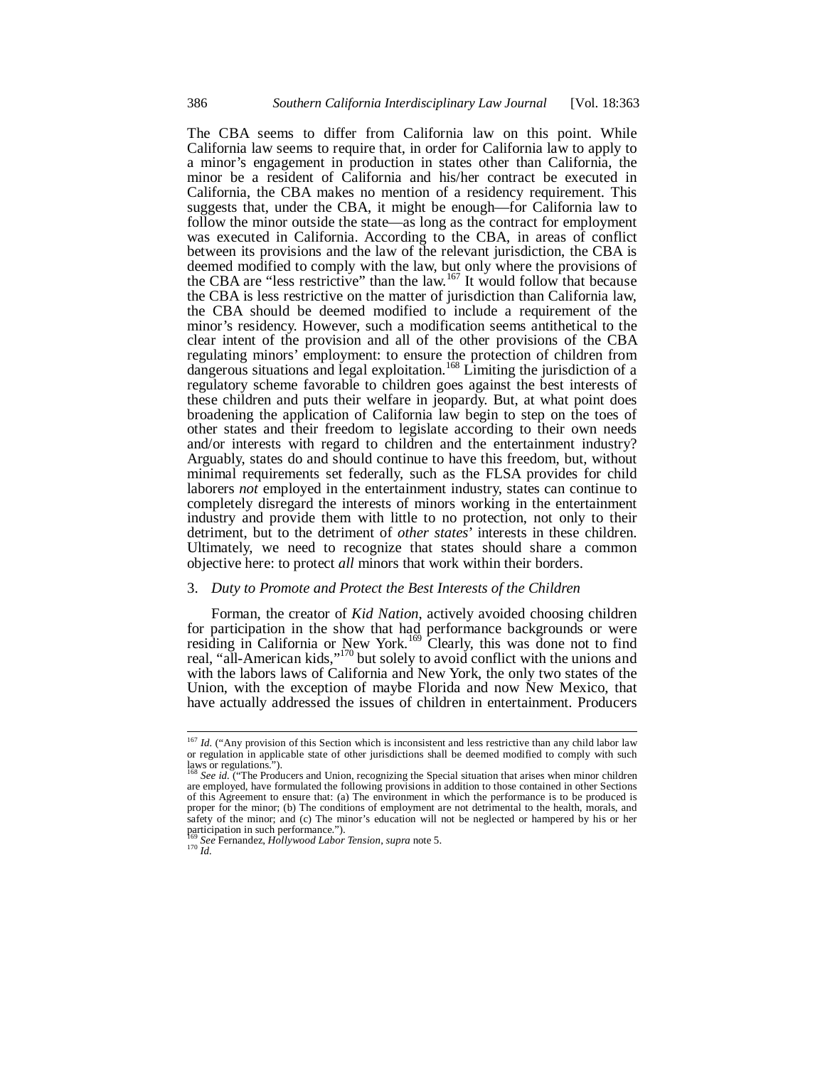The CBA seems to differ from California law on this point. While California law seems to require that, in order for California law to apply to a minor's engagement in production in states other than California, the minor be a resident of California and his/her contract be executed in California, the CBA makes no mention of a residency requirement. This suggests that, under the CBA, it might be enough—for California law to follow the minor outside the state—as long as the contract for employment was executed in California. According to the CBA, in areas of conflict between its provisions and the law of the relevant jurisdiction, the CBA is deemed modified to comply with the law, but only where the provisions of the CBA are "less restrictive" than the law.<sup>167</sup> It would follow that because the CBA is less restrictive on the matter of jurisdiction than California law, the CBA should be deemed modified to include a requirement of the minor's residency. However, such a modification seems antithetical to the clear intent of the provision and all of the other provisions of the CBA regulating minors' employment: to ensure the protection of children from dangerous situations and legal exploitation.<sup>168</sup> Limiting the jurisdiction of a regulatory scheme favorable to children goes against the best interests of these children and puts their welfare in jeopardy. But, at what point does broadening the application of California law begin to step on the toes of other states and their freedom to legislate according to their own needs and/or interests with regard to children and the entertainment industry? Arguably, states do and should continue to have this freedom, but, without minimal requirements set federally, such as the FLSA provides for child laborers *not* employed in the entertainment industry, states can continue to completely disregard the interests of minors working in the entertainment industry and provide them with little to no protection, not only to their detriment, but to the detriment of *other states*' interests in these children. Ultimately, we need to recognize that states should share a common objective here: to protect *all* minors that work within their borders.

## 3. *Duty to Promote and Protect the Best Interests of the Children*

Forman, the creator of *Kid Nation*, actively avoided choosing children for participation in the show that had performance backgrounds or were residing in California or New York.<sup>169</sup> Clearly, this was done not to find real, "all-American kids,"<sup>170</sup> but solely to avoid conflict with the unions and with the labors laws of California and New York, the only two states of the Union, with the exception of maybe Florida and now New Mexico, that have actually addressed the issues of children in entertainment. Producers

į

<sup>&</sup>lt;sup>167</sup> *Id.* ("Any provision of this Section which is inconsistent and less restrictive than any child labor law or regulation in applicable state of other jurisdictions shall be deemed modified to comply with such laws or regulations.").<br><sup>168</sup> *See id.* ("The Producers and Union, recognizing the Special situation that arises when minor children

are employed, have formulated the following provisions in addition to those contained in other Sections of this Agreement to ensure that: (a) The environment in which the performance is to be produced is proper for the minor; (b) The conditions of employment are not detrimental to the health, morals, and safety of the minor; and (c) The minor's education will not be neglected or hampered by his or her participation in such performance.").

<sup>169</sup> *See* Fernandez, *Hollywood Labor Tension*, *supra* note 5. 170 *Id.*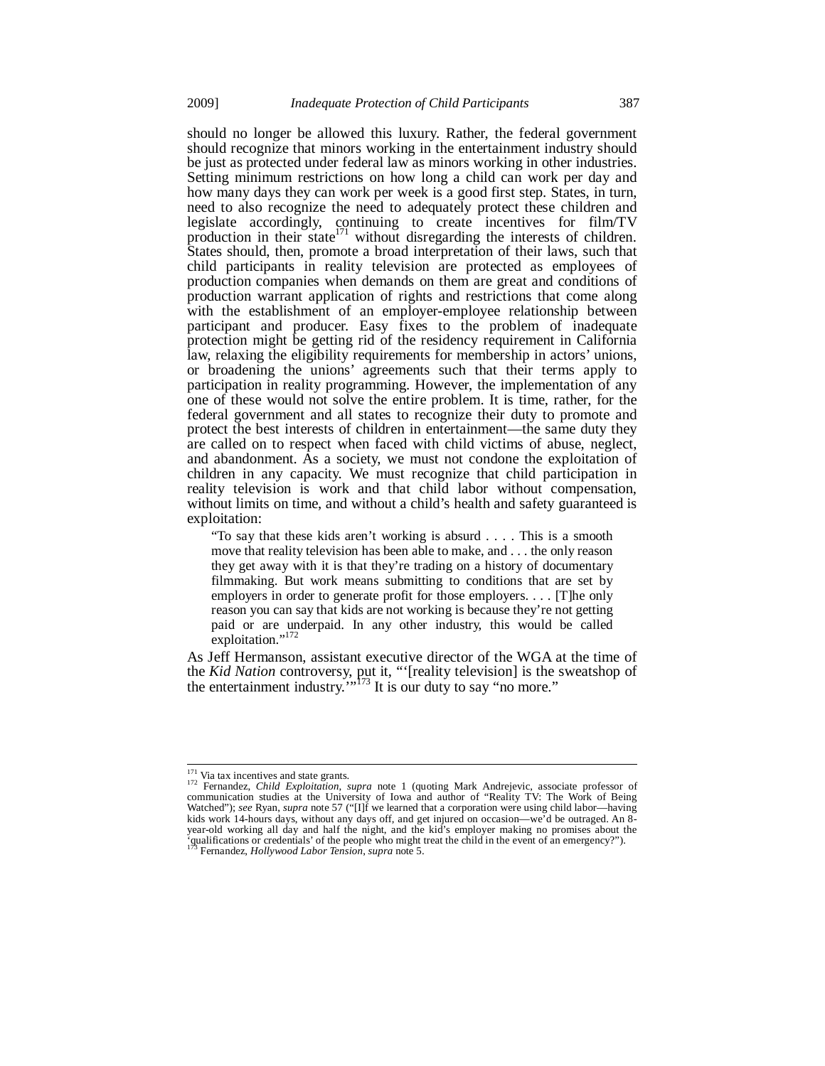should no longer be allowed this luxury. Rather, the federal government should recognize that minors working in the entertainment industry should be just as protected under federal law as minors working in other industries. Setting minimum restrictions on how long a child can work per day and how many days they can work per week is a good first step. States, in turn, need to also recognize the need to adequately protect these children and legislate accordingly, continuing to create incentives for film/TV production in their state<sup>171</sup> without disregarding the interests of children. States should, then, promote a broad interpretation of their laws, such that child participants in reality television are protected as employees of production companies when demands on them are great and conditions of production warrant application of rights and restrictions that come along with the establishment of an employer-employee relationship between participant and producer. Easy fixes to the problem of inadequate protection might be getting rid of the residency requirement in California law, relaxing the eligibility requirements for membership in actors' unions, or broadening the unions' agreements such that their terms apply to participation in reality programming. However, the implementation of any one of these would not solve the entire problem. It is time, rather, for the federal government and all states to recognize their duty to promote and protect the best interests of children in entertainment—the same duty they are called on to respect when faced with child victims of abuse, neglect, and abandonment. As a society, we must not condone the exploitation of children in any capacity. We must recognize that child participation in reality television is work and that child labor without compensation, without limits on time, and without a child's health and safety guaranteed is exploitation:

"To say that these kids aren't working is absurd . . . . This is a smooth move that reality television has been able to make, and . . . the only reason they get away with it is that they're trading on a history of documentary filmmaking. But work means submitting to conditions that are set by employers in order to generate profit for those employers. . . . [T]he only reason you can say that kids are not working is because they're not getting paid or are underpaid. In any other industry, this would be called exploitation."<sup>172</sup>

As Jeff Hermanson, assistant executive director of the WGA at the time of the *Kid Nation* controversy, put it, "'[reality television] is the sweatshop of the entertainment industry."<sup>173</sup> It is our duty to say "no more."

<sup>&</sup>lt;sup>171</sup> Via tax incentives and state grants.

<sup>&</sup>lt;sup>171</sup> Via tax incentives and state grants.<br><sup>172</sup> Fernandez, *Child Exploitation*, *supra* note 1 (quoting Mark Andrejevic, associate professor of communication studies at the University of Iowa and author of "Reality TV: kids work 14-hours days, without any days off, and get injured on occasion—we'd be outraged. An 8- year-old working all day and half the night, and the kid's employer making no promises about the 'qualifications or credentials' of the people who might treat the child in the event of an emergency?"). Fernandez, *Hollywood Labor Tension*, *supra* note 5.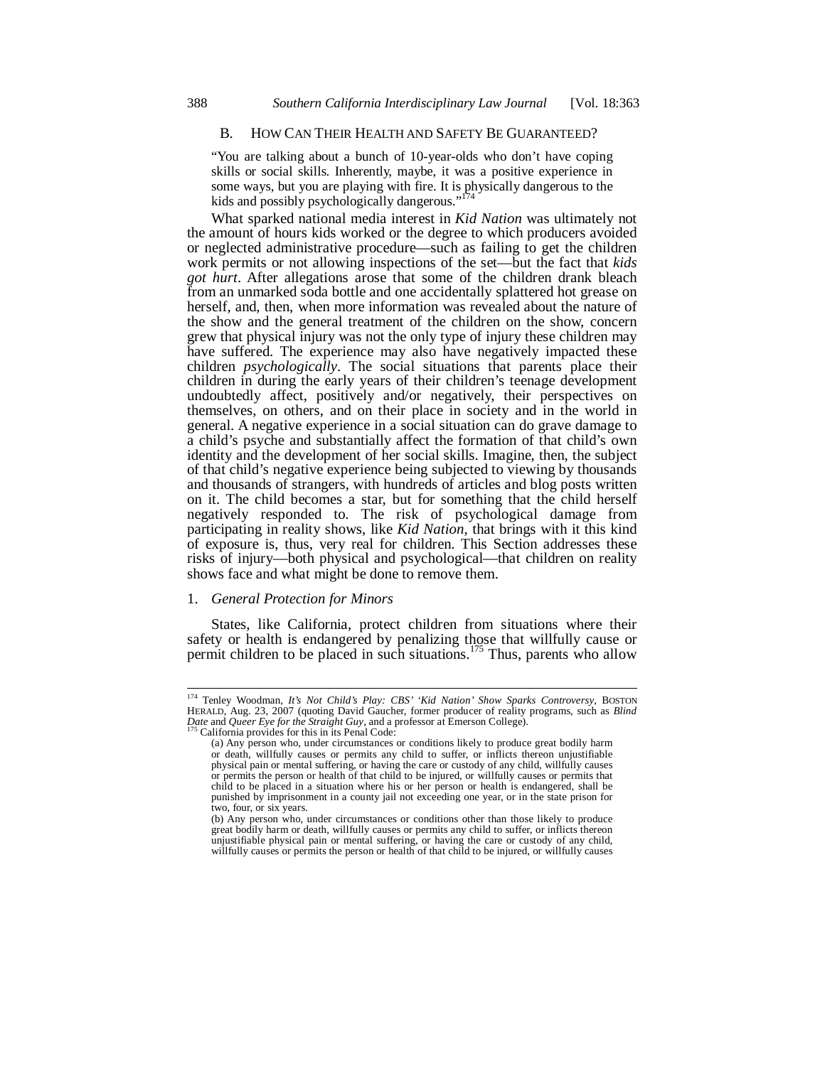# B. HOW CAN THEIR HEALTH AND SAFETY BE GUARANTEED?

"You are talking about a bunch of 10-year-olds who don't have coping skills or social skills. Inherently, maybe, it was a positive experience in some ways, but you are playing with fire. It is physically dangerous to the kids and possibly psychologically dangerous."

What sparked national media interest in *Kid Nation* was ultimately not the amount of hours kids worked or the degree to which producers avoided or neglected administrative procedure—such as failing to get the children work permits or not allowing inspections of the set—but the fact that *kids got hurt*. After allegations arose that some of the children drank bleach from an unmarked soda bottle and one accidentally splattered hot grease on herself, and, then, when more information was revealed about the nature of the show and the general treatment of the children on the show, concern grew that physical injury was not the only type of injury these children may have suffered. The experience may also have negatively impacted these children *psychologically*. The social situations that parents place their children in during the early years of their children's teenage development undoubtedly affect, positively and/or negatively, their perspectives on themselves, on others, and on their place in society and in the world in general. A negative experience in a social situation can do grave damage to a child's psyche and substantially affect the formation of that child's own identity and the development of her social skills. Imagine, then, the subject of that child's negative experience being subjected to viewing by thousands and thousands of strangers, with hundreds of articles and blog posts written on it. The child becomes a star, but for something that the child herself negatively responded to. The risk of psychological damage from participating in reality shows, like *Kid Nation*, that brings with it this kind of exposure is, thus, very real for children. This Section addresses these risks of injury—both physical and psychological—that children on reality shows face and what might be done to remove them.

# 1. *General Protection for Minors*

j

States, like California, protect children from situations where their safety or health is endangered by penalizing those that willfully cause or permit children to be placed in such situations.<sup>175</sup> Thus, parents who allow

<sup>&</sup>lt;sup>174</sup> Tenley Woodman, *It's Not Child's Play: CBS' 'Kid Nation' Show Sparks Controversy*, BOSTON HERALD, Aug. 23, 2007 (quoting David Gaucher, former producer of reality programs, such as *Blind Date* and *Queer Eye for the Straight Guy*, and a professor at Emerson College). 175 California provides for this in its Penal Code:

<sup>(</sup>a) Any person who, under circumstances or conditions likely to produce great bodily harm or death, willfully causes or permits any child to suffer, or inflicts thereon unjustifiable physical pain or mental suffering, or having the care or custody of any child, willfully causes or permits the person or health of that child to be injured, or willfully causes or permits that child to be placed in a situation where his or her person or health is endangered, shall be punished by imprisonment in a county jail not exceeding one year, or in the state prison for two, four, or six years.

<sup>(</sup>b) Any person who, under circumstances or conditions other than those likely to produce great bodily harm or death, willfully causes or permits any child to suffer, or inflicts thereon unjustifiable physical pain or mental suffering, or having the care or custody of any child, willfully causes or permits the person or health of that child to be injured, or willfully causes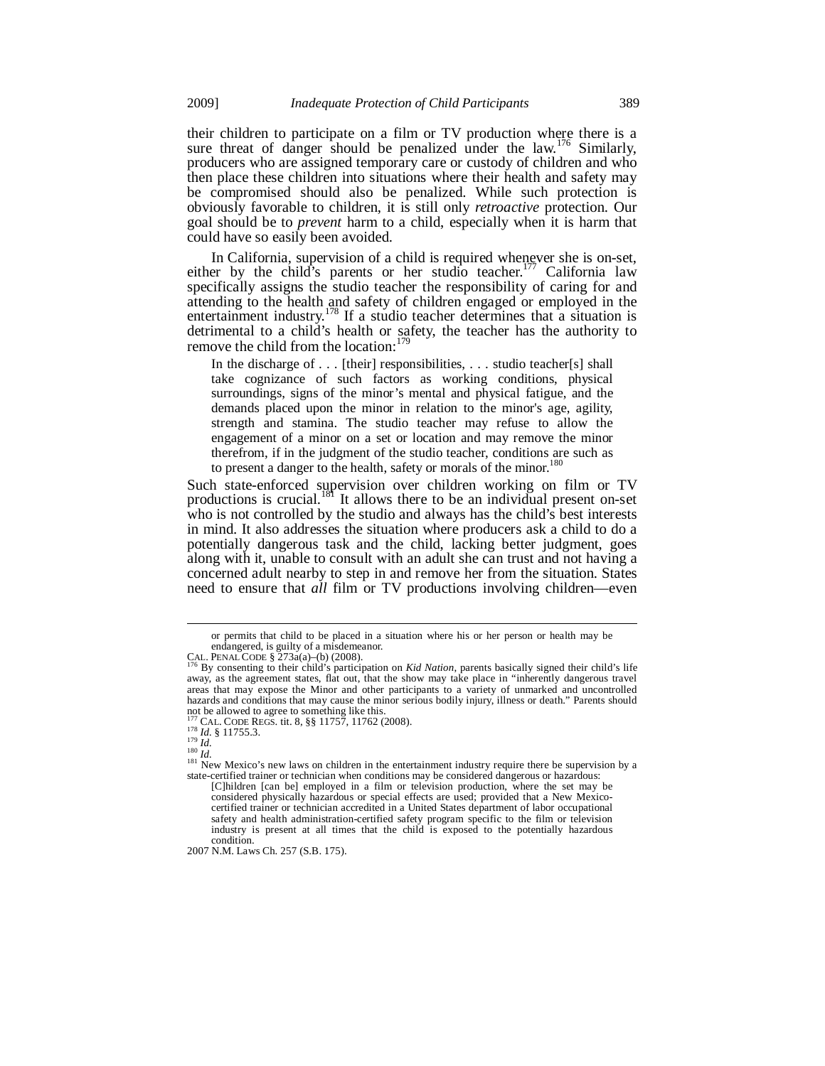their children to participate on a film or TV production where there is a sure threat of danger should be penalized under the law.<sup>176</sup> Similarly, producers who are assigned temporary care or custody of children and who then place these children into situations where their health and safety may be compromised should also be penalized. While such protection is obviously favorable to children, it is still only *retroactive* protection. Our goal should be to *prevent* harm to a child, especially when it is harm that could have so easily been avoided.

In California, supervision of a child is required whenever she is on-set, either by the child's parents or her studio teacher.<sup>177</sup> California law specifically assigns the studio teacher the responsibility of caring for and attending to the health and safety of children engaged or employed in the entertainment industry.<sup>178</sup> If a studio teacher determines that a situation is detrimental to a child's health or safety, the teacher has the authority to remove the child from the location:<sup>179</sup>

In the discharge of . . . [their] responsibilities, . . . studio teacher[s] shall take cognizance of such factors as working conditions, physical surroundings, signs of the minor's mental and physical fatigue, and the demands placed upon the minor in relation to the minor's age, agility, strength and stamina. The studio teacher may refuse to allow the engagement of a minor on a set or location and may remove the minor therefrom, if in the judgment of the studio teacher, conditions are such as to present a danger to the health, safety or morals of the minor.<sup>180</sup>

Such state-enforced supervision over children working on film or TV productions is crucial.<sup>181</sup> It allows there to be an individual present on-set who is not controlled by the studio and always has the child's best interests in mind. It also addresses the situation where producers ask a child to do a potentially dangerous task and the child, lacking better judgment, goes along with it, unable to consult with an adult she can trust and not having a concerned adult nearby to step in and remove her from the situation. States need to ensure that *all* film or TV productions involving children—even

2007 N.M. Laws Ch. 257 (S.B. 175).

or permits that child to be placed in a situation where his or her person or health may be endangered, is guilty of a misdemeanor.<br>CAL. PENAL CODE  $\S$  273a(a)–(b) (2008).

By consenting to their child's participation on *Kid Nation*, parents basically signed their child's life away, as the agreement states, flat out, that the show may take place in "inherently dangerous travel areas that may expose the Minor and other participants to a variety of unmarked and uncontrolled hazards and conditions that may cause the minor serious bodily injury, illness or death." Parents should not be allowed to agree to something like this.

<sup>177</sup> CAL. CODE REGS. tit. 8, §§ 11757, 11762 (2008).<br>
<sup>178</sup> *Id.* § 11755.3.<br>
<sup>180</sup> *Id.*<br>
<sup>180</sup> *Id.*<br>
<sup>181</sup> New Mexico's new laws on children in the entertainment industry require there be supervision by a<br>
<sup>181</sup> New Mexi state-certified trainer or technician when conditions may be considered dangerous or hazardous:

<sup>[</sup>C]hildren [can be] employed in a film or television production, where the set may be considered physically hazardous or special effects are used; provided that a New Mexicocertified trainer or technician accredited in a United States department of labor occupational safety and health administration-certified safety program specific to the film or television industry is present at all times that the child is exposed to the potentially hazardous condition.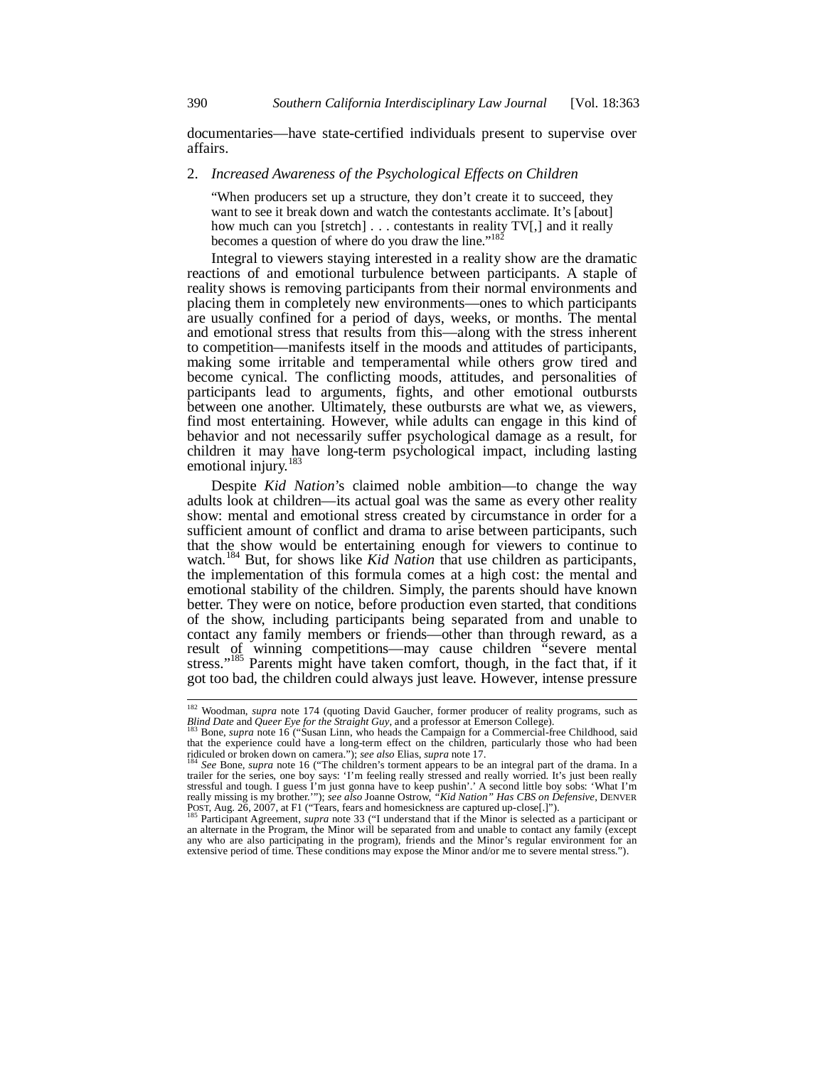documentaries—have state-certified individuals present to supervise over affairs.

## 2. *Increased Awareness of the Psychological Effects on Children*

"When producers set up a structure, they don't create it to succeed, they want to see it break down and watch the contestants acclimate. It's [about] how much can you [stretch] . . . contestants in reality TV[,] and it really becomes a question of where do you draw the line."<sup>182</sup>

Integral to viewers staying interested in a reality show are the dramatic reactions of and emotional turbulence between participants. A staple of reality shows is removing participants from their normal environments and placing them in completely new environments—ones to which participants are usually confined for a period of days, weeks, or months. The mental and emotional stress that results from this—along with the stress inherent to competition—manifests itself in the moods and attitudes of participants, making some irritable and temperamental while others grow tired and become cynical. The conflicting moods, attitudes, and personalities of participants lead to arguments, fights, and other emotional outbursts between one another. Ultimately, these outbursts are what we, as viewers, find most entertaining. However, while adults can engage in this kind of behavior and not necessarily suffer psychological damage as a result, for children it may have long-term psychological impact, including lasting emotional injury.<sup>183</sup>

Despite *Kid Nation*'s claimed noble ambition—to change the way adults look at children—its actual goal was the same as every other reality show: mental and emotional stress created by circumstance in order for a sufficient amount of conflict and drama to arise between participants, such that the show would be entertaining enough for viewers to continue to watch.<sup>184</sup> But, for shows like *Kid Nation* that use children as participants, the implementation of this formula comes at a high cost: the mental and emotional stability of the children. Simply, the parents should have known better. They were on notice, before production even started, that conditions of the show, including participants being separated from and unable to contact any family members or friends—other than through reward, as a result of winning competitions—may cause children "severe mental stress."<sup>185</sup> Parents might have taken comfort, though, in the fact that, if it got too bad, the children could always just leave. However, intense pressure

į

<sup>&</sup>lt;sup>182</sup> Woodman, *supra* note 174 (quoting David Gaucher, former producer of reality programs, such as *Blind Date* and *Queer Eye for the Straight Guy*, and a professor at Emerson College).<br><sup>183</sup> Bone, *supra* note 16 ("Susan Linn, who heads the Campaign for a Commercial-free Childhood, said

that the experience could have a long-term effect on the children, particularly those who had been ridiculed or broken down on camera."); *see also* Elias, *supra* note 17. <sup>184</sup> *See* Bone, *supra* note 16 ("The children's torment appears to be an integral part of the drama. In a

trailer for the series, one boy says: 'I'm feeling really stressed and really worried. It's just been really stressful and tough. I guess I'm just gonna have to keep pushin'.' A second little boy sobs: 'What I'm really missing is my brother.'"); *see also* Joanne Ostrow, "*Kid Nation" Has CBS on Defensive*, DENVER POST, Aug. 26,

an alternate in the Program, the Minor will be separated from and unable to contact any family (except any who are also participating in the program), friends and the Minor's regular environment for an extensive period of time. These conditions may expose the Minor and/or me to severe mental stress.").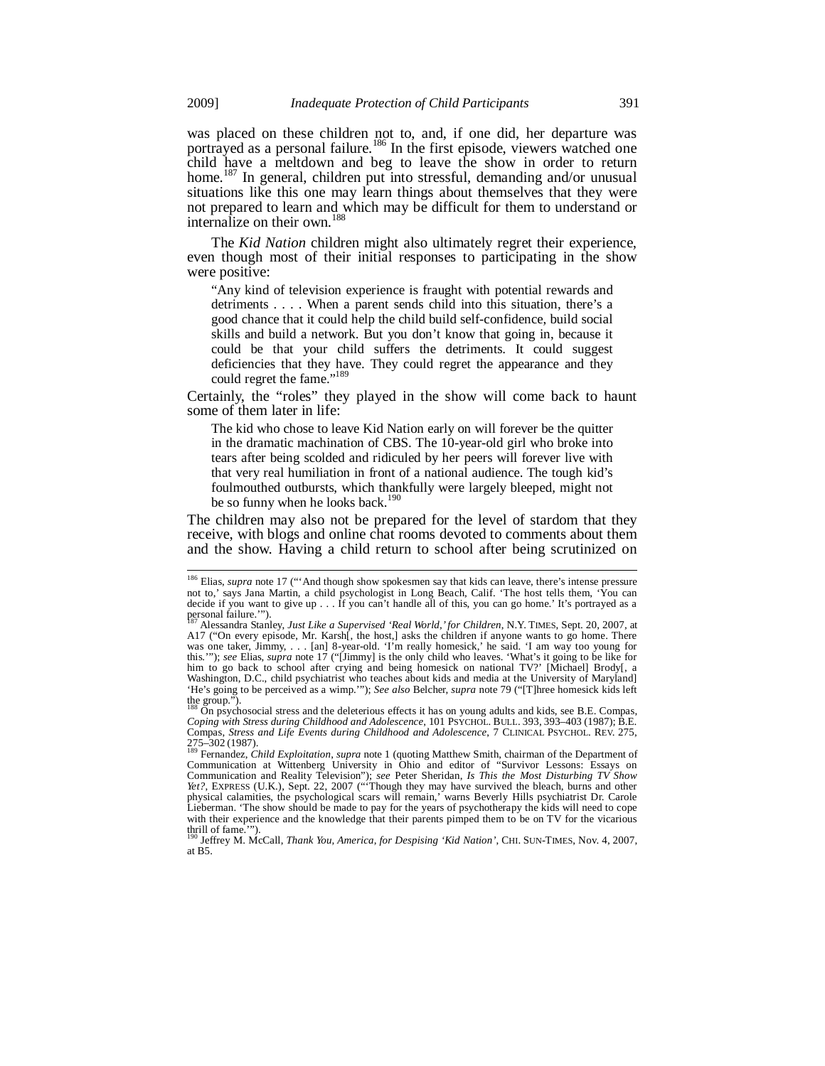was placed on these children not to, and, if one did, her departure was portrayed as a personal failure.<sup>186</sup> In the first episode, viewers watched one child have a meltdown and beg to leave the show in order to return home.<sup>187</sup> In general, children put into stressful, demanding and/or unusual situations like this one may learn things about themselves that they were not prepared to learn and which may be difficult for them to understand or internalize on their own.<sup>188</sup>

The *Kid Nation* children might also ultimately regret their experience, even though most of their initial responses to participating in the show were positive:

"Any kind of television experience is fraught with potential rewards and detriments . . . . When a parent sends child into this situation, there's a good chance that it could help the child build self-confidence, build social skills and build a network. But you don't know that going in, because it could be that your child suffers the detriments. It could suggest deficiencies that they have. They could regret the appearance and they could regret the fame."<sup>189</sup>

Certainly, the "roles" they played in the show will come back to haunt some of them later in life:

The kid who chose to leave Kid Nation early on will forever be the quitter in the dramatic machination of CBS. The 10-year-old girl who broke into tears after being scolded and ridiculed by her peers will forever live with that very real humiliation in front of a national audience. The tough kid's foulmouthed outbursts, which thankfully were largely bleeped, might not be so funny when he looks back.<sup>190</sup>

The children may also not be prepared for the level of stardom that they receive, with blogs and online chat rooms devoted to comments about them and the show. Having a child return to school after being scrutinized on

į

<sup>&</sup>lt;sup>186</sup> Elias, *supra* note 17 ("'And though show spokesmen say that kids can leave, there's intense pressure not to,' says Jana Martin, a child psychologist in Long Beach, Calif. 'The host tells them, 'You can decide if you want to give up . . . If you can't handle all of this, you can go home.' It's portrayed as a personal failure.'").

<sup>187</sup> Alessandra Stanley, *Just Like a Supervised 'Real World,' for Children*, N.Y. TIMES, Sept. 20, 2007, at A17 ("On every episode, Mr. Karsh<sup>[</sup>, the host,] asks the children if anyone wants to go home. There was one taker, Jimmy, . . . [an] 8-year-old. 'I'm really homesick,' he said. 'I am way too young for this.'"); *see* Elias, *supra* note 17 ("[Jimmy] is the only child who leaves. 'What's it going to be like for him to go back to school after crying and being homesick on national TV?' [Michael] Brody[, a Washington, D.C., child psychiatrist who teaches about kids and media at the University of Maryland] 'He's going to be perceived as a wimp.'"); *See also* Belcher, *supra* note 79 ("[T]hree homesick kids left the group.").

<sup>188</sup> On psychosocial stress and the deleterious effects it has on young adults and kids, see B.E. Compas, *Coping with Stress during Childhood and Adolescence*, 101 PSYCHOL. BULL. 393, 393–403 (1987); B.E. Compas, *Stress and Life Events during Childhood and Adolescence*, 7 CLINICAL PSYCHOL. REV. 275,

<sup>275–302 (1987).&</sup>lt;br><sup>189</sup> Fernandez, *Child Exploitation*, *supra* note 1 (quoting Matthew Smith, chairman of the Department of <sup>189</sup><br>Communication at Wittenberg University in Ohio and editor of "Survivor Lessons: Essays on Communication and Reality Television"); *see* Peter Sheridan, *Is This the Most Disturbing TV Show Yet?*, EXPRESS (U.K.), Sept. 22, 2007 ("'Though they may have survived the bleach, burns and other physical calamities, the psychological scars will remain,' warns Beverly Hills psychiatrist Dr. Carole Lieberman. 'The show should be made to pay for the years of psychotherapy the kids will need to cope with their experience and the knowledge that their parents pimped them to be on TV for the vicarious thrill of fame.'"). 190 Jeffrey M. McCall, *Thank You, America, for Despising 'Kid Nation'*, CHI. SUN-TIMES, Nov. 4, 2007,

at B5.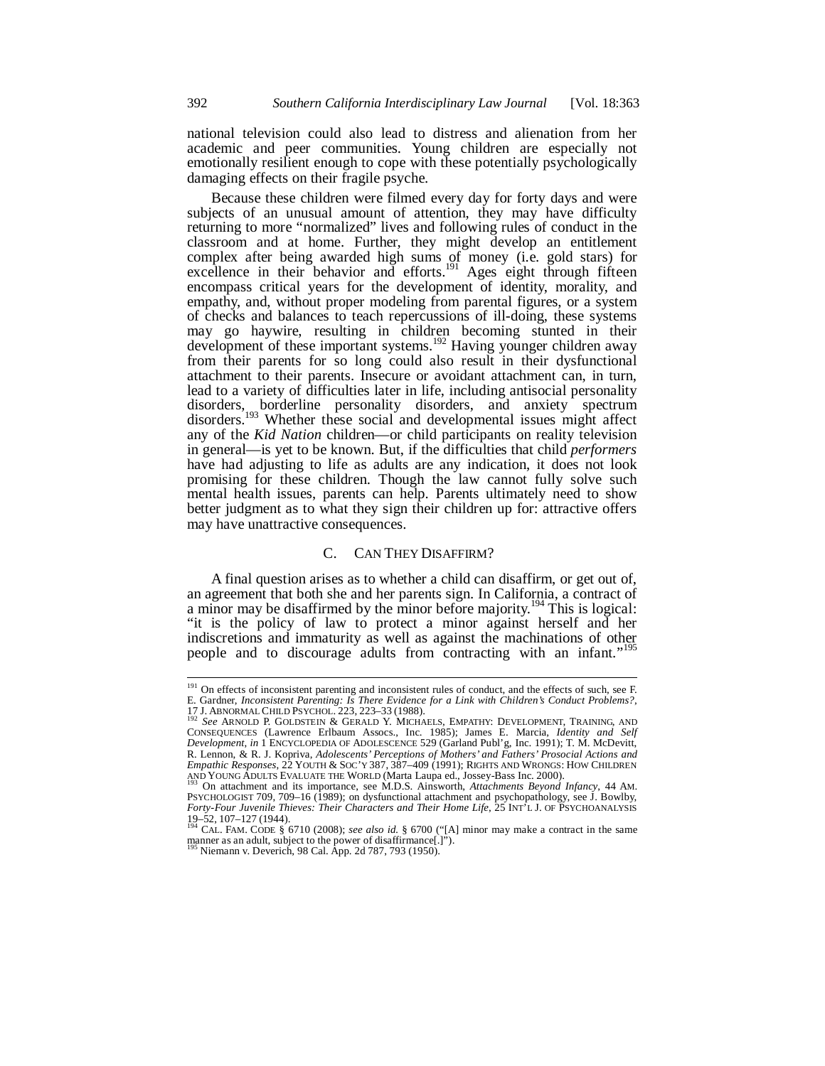national television could also lead to distress and alienation from her academic and peer communities. Young children are especially not emotionally resilient enough to cope with these potentially psychologically damaging effects on their fragile psyche.

Because these children were filmed every day for forty days and were subjects of an unusual amount of attention, they may have difficulty returning to more "normalized" lives and following rules of conduct in the classroom and at home. Further, they might develop an entitlement complex after being awarded high sums of money (i.e. gold stars) for excellence in their behavior and efforts.<sup>191</sup> Ages eight through fifteen encompass critical years for the development of identity, morality, and empathy, and, without proper modeling from parental figures, or a system of checks and balances to teach repercussions of ill-doing, these systems may go haywire, resulting in children becoming stunted in their development of these important systems.<sup>192</sup> Having younger children away from their parents for so long could also result in their dysfunctional attachment to their parents. Insecure or avoidant attachment can, in turn, lead to a variety of difficulties later in life, including antisocial personality disorders, borderline personality disorders, and anxiety spectrum disorders.<sup>193</sup> Whether these social and developmental issues might affect any of the *Kid Nation* children—or child participants on reality television in general—is yet to be known. But, if the difficulties that child *performers* have had adjusting to life as adults are any indication, it does not look promising for these children. Though the law cannot fully solve such mental health issues, parents can help. Parents ultimately need to show better judgment as to what they sign their children up for: attractive offers may have unattractive consequences.

# C. CAN THEY DISAFFIRM?

A final question arises as to whether a child can disaffirm, or get out of, an agreement that both she and her parents sign. In California, a contract of a minor may be disaffirmed by the minor before majority.<sup>194</sup> This is logical: "it is the policy of law to protect a minor against herself and her indiscretions and immaturity as well as against the machinations of other people and to discourage adults from contracting with an infant."<sup>195</sup>

j

<sup>&</sup>lt;sup>191</sup> On effects of inconsistent parenting and inconsistent rules of conduct, and the effects of such, see F.<br>E. Gardner, *Inconsistent Parenting: Is There Evidence for a Link with Children's Conduct Problems?*,

<sup>17</sup> J. ABNORMAL CHILD PSYCHOL. 223, 223–33 (1988). 192 *See* ARNOLD P. GOLDSTEIN & GERALD Y. MICHAELS, EMPATHY: DEVELOPMENT, TRAINING, AND CONSEQUENCES (Lawrence Erlbaum Assocs., Inc. 1985); James E. Marcia, *Identity and Self Development*, *in* 1 ENCYCLOPEDIA OF ADOLESCENCE 529 (Garland Publ'g, Inc. 1991); T. M. McDevitt, R. Lennon, & R. J. Kopriva, *Adolescents' Perceptions of Mothers' and Fathers' Prosocial Actions and Empathic Responses*, 22 YOUTH & SOC'Y 387, 387–409 (1991); RIGHTS AND WRONGS: HOW CHILDREN

AND YOUNG ADULTS EVALUATE THE WORLD (Marta Laupa ed., Jossey-Bass Inc. 2000).<br><sup>193</sup> On attachment and its importance, see M.D.S. Ainsworth, *Attachments Beyond Infancy*, 44 AM.<br>PSYCHOLOGIST 709, 709–16 (1989); on dysfuncti 19–52, 107–127 (1944). 194 CAL. FAM. CODE § 6710 (2008); *see also id.* § 6700 ("[A] minor may make a contract in the same

manner as an adult, subject to the power of disaffirmance[.]").<br><sup>195</sup> Niemann v. Deverich, 98 Cal. App. 2d 787, 793 (1950).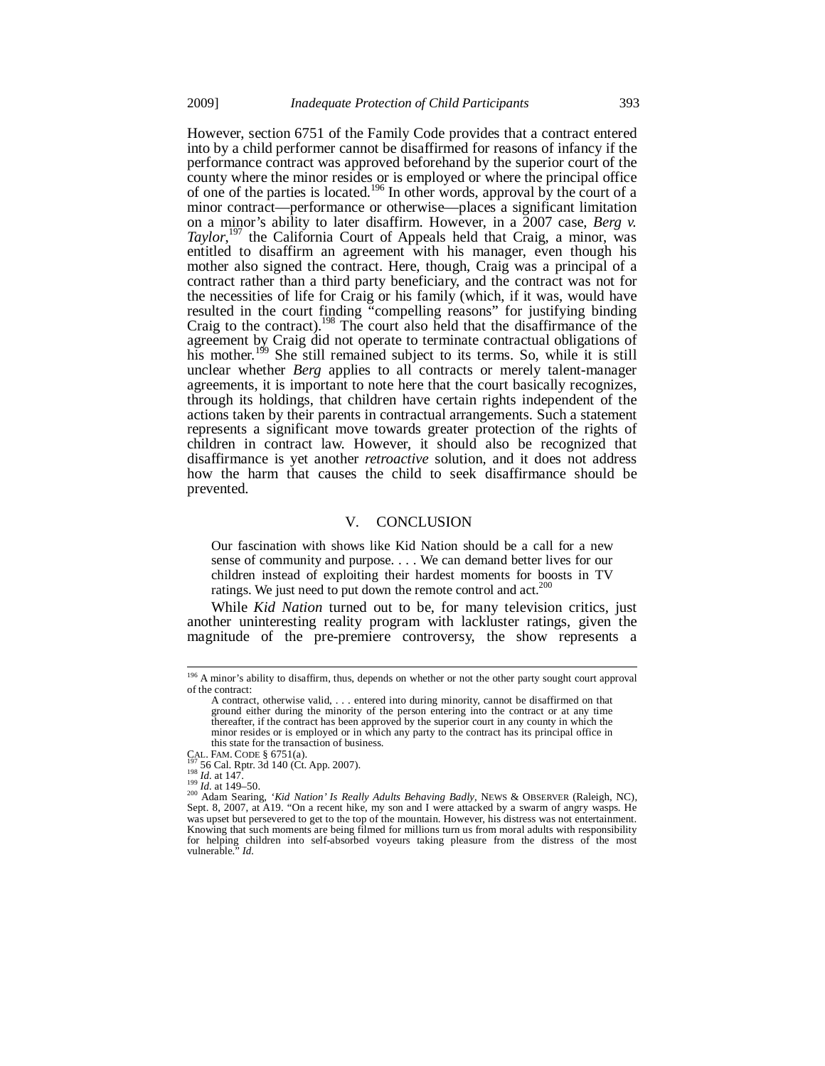However, section 6751 of the Family Code provides that a contract entered into by a child performer cannot be disaffirmed for reasons of infancy if the performance contract was approved beforehand by the superior court of the county where the minor resides or is employed or where the principal office of one of the parties is located.<sup>196</sup> In other words, approval by the court of a minor contract—performance or otherwise—places a significant limitation on a minor's ability to later disaffirm. However, in a 2007 case, *Berg v.*  Taylor,<sup>197</sup> the California Court of Appeals held that Craig, a minor, was entitled to disaffirm an agreement with his manager, even though his mother also signed the contract. Here, though, Craig was a principal of a contract rather than a third party beneficiary, and the contract was not for the necessities of life for Craig or his family (which, if it was, would have resulted in the court finding "compelling reasons" for justifying binding Craig to the contract).<sup>198</sup> The court also held that the disaffirmance of the agreement by Craig did not operate to terminate contractual obligations of his mother.<sup>199</sup> She still remained subject to its terms. So, while it is still unclear whether *Berg* applies to all contracts or merely talent-manager agreements, it is important to note here that the court basically recognizes, through its holdings, that children have certain rights independent of the actions taken by their parents in contractual arrangements. Such a statement represents a significant move towards greater protection of the rights of children in contract law. However, it should also be recognized that disaffirmance is yet another *retroactive* solution, and it does not address how the harm that causes the child to seek disaffirmance should be prevented.

#### V. CONCLUSION

Our fascination with shows like Kid Nation should be a call for a new sense of community and purpose. . . . We can demand better lives for our children instead of exploiting their hardest moments for boosts in TV ratings. We just need to put down the remote control and act.<sup>200</sup>

While *Kid Nation* turned out to be, for many television critics, just another uninteresting reality program with lackluster ratings, given the magnitude of the pre-premiere controversy, the show represents a

į

<sup>&</sup>lt;sup>196</sup> A minor's ability to disaffirm, thus, depends on whether or not the other party sought court approval of the contract:

A contract, otherwise valid, . . . entered into during minority, cannot be disaffirmed on that ground either during the minority of the person entering into the contract or at any time thereafter, if the contract has been approved by the superior court in any county in which the minor resides or is employed or in which any party to the contract has its principal office in this state for the transaction of business.<br>CAL. FAM. CODE  $\S$  6751(a).<br> $^{197}_{12}$  56 Cal. Rptr. 3d 140 (Ct. App. 2007).

CAL. FAM. CODE § 6751(a).<br><sup>197</sup> 56 Cal. Rptr. 3d 140 (Ct. App. 2007).<br><sup>198</sup> Id. at 149–50.<br><sup>209</sup> Adam Searing, *'Kid Nation' Is Really Adults Behaving Badly*, NEWS & OBSERVER (Raleigh, NC),<br><sup>200</sup> Adam Searing, *'Kid Nation* was upset but persevered to get to the top of the mountain. However, his distress was not entertainment. Knowing that such moments are being filmed for millions turn us from moral adults with responsibility for helping children into self-absorbed voyeurs taking pleasure from the distress of the most vulnerable." *Id.*